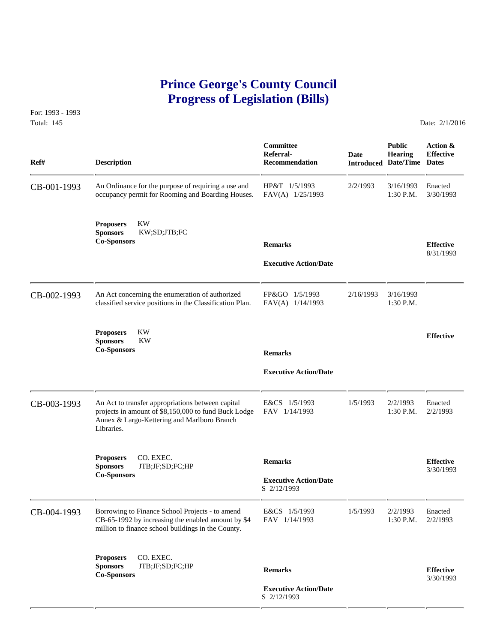# **Prince George's County Council Progress of Legislation (Bills)**

For: 1993 - 1993 Total: 145 **Date: 2/1/2016** 

 **Committee Public Action & Referral- Date Hearing Effective Ref# Description Recommendation Introduced Date/Time Dates** CB-001-1993 An Ordinance for the purpose of requiring a use and HP&T 1/5/1993 2/2/1993 3/16/1993 Enacted occupancy permit for Rooming and Boarding Houses. FAV(A) 1/25/1993 1:30 P.M. 3/30/1993 occupancy permit for Rooming and Boarding Houses. **Proposers** KW **Sponsors** KW;SD;JTB;FC **Co-Sponsors Remarks Effective** 8/31/1993  **Executive Action/Date** CB-002-1993 An Act concerning the enumeration of authorized FP&GO 1/5/1993 2/16/1993 2/16/1993 classified service positions in the Classification Plan. FAV(A) 1/14/1993 1:30 P.M. classified service positions in the Classification Plan. **Proposers** KW **Effective Sponsors** KW **Co-Sponsors Remarks Executive Action/Date** CB-003-1993 An Act to transfer appropriations between capital E&CS 1/5/1993 1/5/1993 2/2/1993 Enacted<br>projects in amount of \$8,150,000 to fund Buck Lodge FAV 1/14/1993 1:30 P.M. 2/2/1993 projects in amount of \$8,150,000 to fund Buck Lodge Annex & Largo-Kettering and Marlboro Branch Libraries. **Proposers CO. EXEC. Remarks Effective Effective Effective Effective Effective Co-Sponsors CO. EXEC. Co-Sponsors CO. Sponsors CO. EXEC. Executive Action/Date Co-Sponsors CO. Sponsors** S 2/12/1993 CB-004-1993 Borrowing to Finance School Projects - to amend E&CS 1/5/1993 1/5/1993 2/2/1993 Enacted<br>CB-65-1992 by increasing the enabled amount by \$4 FAV 1/14/1993 1:30 P.M. 2/2/1993  $CB-65-1992$  by increasing the enabled amount by \$4 million to finance school buildings in the County. **Proposers** CO. EXEC. **Sponsors** JTB;JF;SD;FC;HP **Remarks Effective Co-Sponsors** 3/30/1993  **Executive Action/Date** S 2/12/1993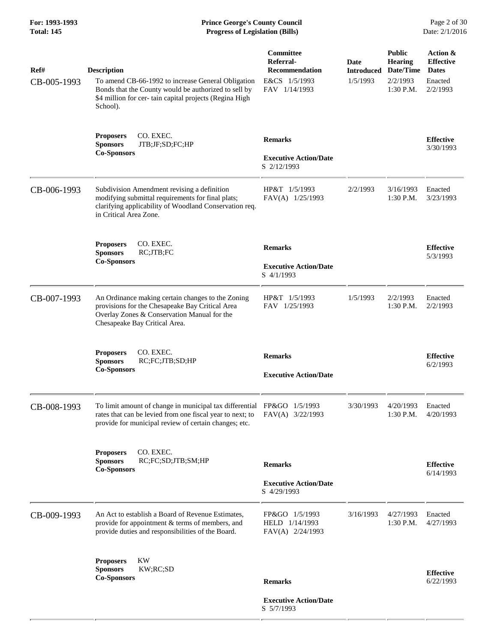**For: 1993-1993 Prince George's County Council** Page 2 of 30<br>**Prince George's County Council** Page 2 of 30<br>**Progress of Legislation (Bills)** Date: 2/1/2016 **Total: 145 Progress of Legislation (Bills)** 

| Ref#        | <b>Description</b>                                                                                                                                                                           | Committee<br>Referral-<br><b>Recommendation</b>      | Date<br><b>Introduced</b> | <b>Public</b><br><b>Hearing</b><br>Date/Time | Action &<br><b>Effective</b><br><b>Dates</b> |
|-------------|----------------------------------------------------------------------------------------------------------------------------------------------------------------------------------------------|------------------------------------------------------|---------------------------|----------------------------------------------|----------------------------------------------|
| CB-005-1993 | To amend CB-66-1992 to increase General Obligation<br>Bonds that the County would be authorized to sell by<br>\$4 million for cer- tain capital projects (Regina High<br>School).            | E&CS 1/5/1993<br>FAV 1/14/1993                       | 1/5/1993                  | 2/2/1993<br>1:30 P.M.                        | Enacted<br>2/2/1993                          |
|             | CO. EXEC.<br><b>Proposers</b><br><b>Sponsors</b><br>JTB;JF;SD;FC;HP                                                                                                                          | <b>Remarks</b>                                       |                           |                                              | <b>Effective</b><br>3/30/1993                |
|             | <b>Co-Sponsors</b>                                                                                                                                                                           | <b>Executive Action/Date</b><br>S 2/12/1993          |                           |                                              |                                              |
| CB-006-1993 | Subdivision Amendment revising a definition<br>modifying submittal requirements for final plats;<br>clarifying applicability of Woodland Conservation req.<br>in Critical Area Zone.         | HP&T 1/5/1993<br>FAV(A) 1/25/1993                    | 2/2/1993                  | 3/16/1993<br>$1:30$ P.M.                     | Enacted<br>3/23/1993                         |
|             | CO. EXEC.<br><b>Proposers</b><br><b>Sponsors</b><br>RC;JTB;FC                                                                                                                                | <b>Remarks</b>                                       |                           |                                              | <b>Effective</b>                             |
|             | <b>Co-Sponsors</b>                                                                                                                                                                           | <b>Executive Action/Date</b><br>S 4/1/1993           |                           |                                              | 5/3/1993                                     |
| CB-007-1993 | An Ordinance making certain changes to the Zoning<br>provisions for the Chesapeake Bay Critical Area<br>Overlay Zones & Conservation Manual for the<br>Chesapeake Bay Critical Area.         | HP&T 1/5/1993<br>FAV 1/25/1993                       | 1/5/1993                  | 2/2/1993<br>1:30 P.M.                        | Enacted<br>2/2/1993                          |
|             | CO. EXEC.<br><b>Proposers</b><br><b>Sponsors</b><br>RC;FC;JTB;SD;HP<br><b>Co-Sponsors</b>                                                                                                    | <b>Remarks</b><br><b>Executive Action/Date</b>       |                           |                                              | <b>Effective</b><br>6/2/1993                 |
| CB-008-1993 | To limit amount of change in municipal tax differential FP&GO 1/5/1993<br>rates that can be levied from one fiscal year to next; to<br>provide for municipal review of certain changes; etc. | $FAV(A)$ 3/22/1993                                   | 3/30/1993                 | 4/20/1993<br>1:30 P.M.                       | Enacted<br>4/20/1993                         |
|             | CO. EXEC.<br><b>Proposers</b><br>RC;FC;SD;JTB;SM;HP<br><b>Sponsors</b><br><b>Co-Sponsors</b>                                                                                                 | <b>Remarks</b>                                       |                           |                                              | <b>Effective</b>                             |
|             |                                                                                                                                                                                              | <b>Executive Action/Date</b><br>S 4/29/1993          |                           |                                              | 6/14/1993                                    |
| CB-009-1993 | An Act to establish a Board of Revenue Estimates,<br>provide for appointment & terms of members, and<br>provide duties and responsibilities of the Board.                                    | FP&GO 1/5/1993<br>HELD 1/14/1993<br>FAV(A) 2/24/1993 | 3/16/1993                 | 4/27/1993<br>1:30 P.M.                       | Enacted<br>4/27/1993                         |
|             | KW<br><b>Proposers</b><br><b>Sponsors</b><br>KW;RC;SD                                                                                                                                        |                                                      |                           |                                              |                                              |
|             | <b>Co-Sponsors</b>                                                                                                                                                                           | <b>Remarks</b>                                       |                           |                                              | <b>Effective</b><br>6/22/1993                |
|             |                                                                                                                                                                                              | <b>Executive Action/Date</b><br>S 5/7/1993           |                           |                                              |                                              |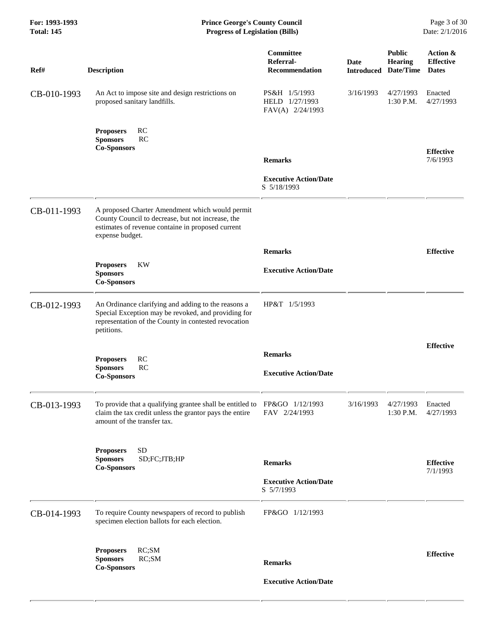| For: 1993-1993<br><b>Total: 145</b> | <b>Prince George's County Council</b><br><b>Progress of Legislation (Bills)</b>                                                                                                  |                                                               |           |                                                                | Page 3 of 30<br>Date: 2/1/2016               |
|-------------------------------------|----------------------------------------------------------------------------------------------------------------------------------------------------------------------------------|---------------------------------------------------------------|-----------|----------------------------------------------------------------|----------------------------------------------|
| Ref#                                | <b>Description</b>                                                                                                                                                               | Committee<br>Referral-<br><b>Recommendation</b>               | Date      | <b>Public</b><br><b>Hearing</b><br><b>Introduced Date/Time</b> | Action &<br><b>Effective</b><br><b>Dates</b> |
| CB-010-1993                         | An Act to impose site and design restrictions on<br>proposed sanitary landfills.                                                                                                 | PS&H 1/5/1993<br>HELD 1/27/1993<br>FAV(A) 2/24/1993           | 3/16/1993 | 4/27/1993<br>1:30 P.M.                                         | Enacted<br>4/27/1993                         |
|                                     | RC<br><b>Proposers</b><br><b>Sponsors</b><br>RC<br><b>Co-Sponsors</b>                                                                                                            |                                                               |           |                                                                | <b>Effective</b>                             |
|                                     |                                                                                                                                                                                  | <b>Remarks</b><br><b>Executive Action/Date</b><br>S 5/18/1993 |           |                                                                | 7/6/1993                                     |
| CB-011-1993                         | A proposed Charter Amendment which would permit<br>County Council to decrease, but not increase, the<br>estimates of revenue containe in proposed current<br>expense budget.     |                                                               |           |                                                                |                                              |
|                                     |                                                                                                                                                                                  | <b>Remarks</b>                                                |           |                                                                | <b>Effective</b>                             |
|                                     | KW<br><b>Proposers</b><br><b>Sponsors</b><br><b>Co-Sponsors</b>                                                                                                                  | <b>Executive Action/Date</b>                                  |           |                                                                |                                              |
| CB-012-1993                         | An Ordinance clarifying and adding to the reasons a<br>Special Exception may be revoked, and providing for<br>representation of the County in contested revocation<br>petitions. | HP&T 1/5/1993                                                 |           |                                                                |                                              |
|                                     |                                                                                                                                                                                  | <b>Remarks</b>                                                |           |                                                                | <b>Effective</b>                             |
|                                     | RC<br><b>Proposers</b><br>RC<br><b>Sponsors</b><br>$\operatorname{Co-Sponsors}$                                                                                                  | <b>Executive Action/Date</b>                                  |           |                                                                |                                              |
| CB-013-1993                         | To provide that a qualifying grantee shall be entitled to $FP&GO$ 1/12/1993<br>claim the tax credit unless the grantor pays the entire<br>amount of the transfer tax.            | FAV 2/24/1993                                                 | 3/16/1993 | 4/27/1993<br>1:30 P.M.                                         | Enacted<br>4/27/1993                         |
|                                     | <b>SD</b><br><b>Proposers</b><br>SD;FC;JTB;HP<br><b>Sponsors</b><br><b>Co-Sponsors</b>                                                                                           | <b>Remarks</b>                                                |           |                                                                | <b>Effective</b>                             |
|                                     |                                                                                                                                                                                  | <b>Executive Action/Date</b><br>S 5/7/1993                    |           |                                                                | 7/1/1993                                     |
| CB-014-1993                         | To require County newspapers of record to publish<br>specimen election ballots for each election.                                                                                | FP&GO 1/12/1993                                               |           |                                                                |                                              |
|                                     | RC;SM<br><b>Proposers</b><br><b>Sponsors</b><br>RC;SM<br><b>Co-Sponsors</b>                                                                                                      | <b>Remarks</b>                                                |           |                                                                | <b>Effective</b>                             |
|                                     |                                                                                                                                                                                  | <b>Executive Action/Date</b>                                  |           |                                                                |                                              |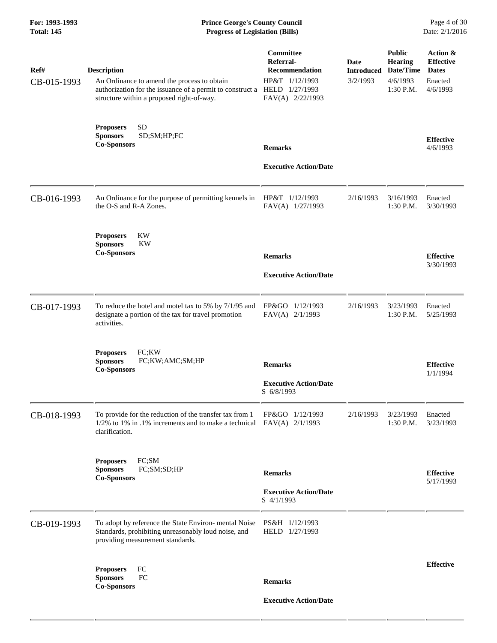# **For: 1993-1993 Prince George's County Council** Page 4 of 30<br> **Prince George's County Council** Page 4 of 30<br> **Progress of Legislation (Bills)** Date: 2/1/2016 **Total: 145 Progress of Legislation (Bills)**

| Ref#<br>CB-015-1993 | <b>Description</b><br>An Ordinance to amend the process to obtain<br>authorization for the issuance of a permit to construct a HELD 1/27/1993<br>structure within a proposed right-of-way. | Committee<br>Referral-<br><b>Recommendation</b><br>HP&T 1/12/1993<br>FAV(A) 2/22/1993 | Date<br><b>Introduced</b><br>3/2/1993 | <b>Public</b><br><b>Hearing</b><br>Date/Time<br>4/6/1993<br>1:30 P.M. | Action &<br><b>Effective</b><br><b>Dates</b><br>Enacted<br>4/6/1993 |
|---------------------|--------------------------------------------------------------------------------------------------------------------------------------------------------------------------------------------|---------------------------------------------------------------------------------------|---------------------------------------|-----------------------------------------------------------------------|---------------------------------------------------------------------|
|                     | <b>SD</b><br><b>Proposers</b><br><b>Sponsors</b><br>SD;SM;HP;FC<br><b>Co-Sponsors</b>                                                                                                      | <b>Remarks</b>                                                                        |                                       |                                                                       | <b>Effective</b><br>4/6/1993                                        |
|                     |                                                                                                                                                                                            | <b>Executive Action/Date</b>                                                          |                                       |                                                                       |                                                                     |
| CB-016-1993         | An Ordinance for the purpose of permitting kennels in<br>the O-S and R-A Zones.                                                                                                            | HP&T 1/12/1993<br>FAV(A) 1/27/1993                                                    | 2/16/1993                             | 3/16/1993<br>1:30 P.M.                                                | Enacted<br>3/30/1993                                                |
|                     | <b>KW</b><br><b>Proposers</b><br><b>Sponsors</b><br><b>KW</b><br><b>Co-Sponsors</b>                                                                                                        | <b>Remarks</b><br><b>Executive Action/Date</b>                                        |                                       |                                                                       | <b>Effective</b><br>3/30/1993                                       |
| CB-017-1993         | To reduce the hotel and motel tax to 5% by 7/1/95 and<br>designate a portion of the tax for travel promotion<br>activities.                                                                | FP&GO 1/12/1993<br>FAV(A) 2/1/1993                                                    | 2/16/1993                             | 3/23/1993<br>1:30 P.M.                                                | Enacted<br>5/25/1993                                                |
|                     | FC;KW<br><b>Proposers</b><br><b>Sponsors</b><br>FC;KW;AMC;SM;HP<br><b>Co-Sponsors</b>                                                                                                      | <b>Remarks</b><br><b>Executive Action/Date</b><br>S 6/8/1993                          |                                       |                                                                       | <b>Effective</b><br>1/1/1994                                        |
| CB-018-1993         | To provide for the reduction of the transfer tax from 1<br>$1/2\%$ to 1% in .1% increments and to make a technical<br>clarification.                                                       | FP&GO 1/12/1993<br>$FAV(A)$ 2/1/1993                                                  | 2/16/1993                             | 3/23/1993<br>1:30 P.M.                                                | Enacted<br>3/23/1993                                                |
|                     | FC;SM<br><b>Proposers</b><br><b>Sponsors</b><br>FC;SM;SD;HP<br><b>Co-Sponsors</b>                                                                                                          | <b>Remarks</b>                                                                        |                                       |                                                                       | <b>Effective</b><br>5/17/1993                                       |
|                     |                                                                                                                                                                                            | <b>Executive Action/Date</b><br>S 4/1/1993                                            |                                       |                                                                       |                                                                     |
| CB-019-1993         | To adopt by reference the State Environ- mental Noise<br>Standards, prohibiting unreasonably loud noise, and<br>providing measurement standards.                                           | PS&H 1/12/1993<br>HELD 1/27/1993                                                      |                                       |                                                                       |                                                                     |
|                     | FC<br><b>Proposers</b><br><b>Sponsors</b><br>FC<br><b>Co-Sponsors</b>                                                                                                                      | <b>Remarks</b>                                                                        |                                       |                                                                       | <b>Effective</b>                                                    |
|                     |                                                                                                                                                                                            | <b>Executive Action/Date</b>                                                          |                                       |                                                                       |                                                                     |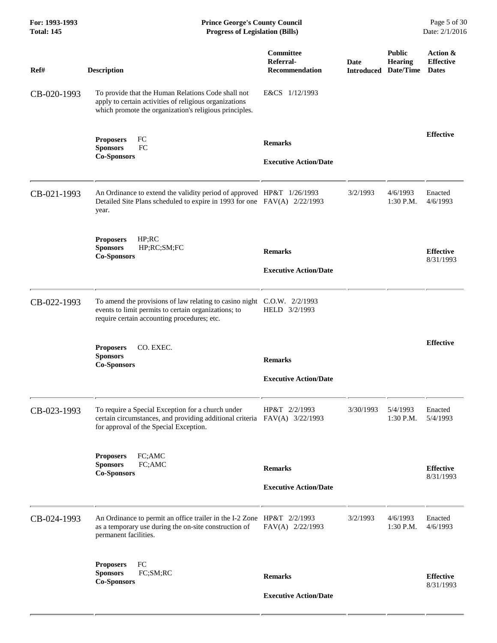| For: 1993-1993<br><b>Total: 145</b> | <b>Prince George's County Council</b><br>Date: 2/1/2016<br><b>Progress of Legislation (Bills)</b>                                                                              |                                                 |                           |                                              |                                              |
|-------------------------------------|--------------------------------------------------------------------------------------------------------------------------------------------------------------------------------|-------------------------------------------------|---------------------------|----------------------------------------------|----------------------------------------------|
| Ref#                                | <b>Description</b>                                                                                                                                                             | <b>Committee</b><br>Referral-<br>Recommendation | Date<br><b>Introduced</b> | <b>Public</b><br><b>Hearing</b><br>Date/Time | Action &<br><b>Effective</b><br><b>Dates</b> |
| CB-020-1993                         | To provide that the Human Relations Code shall not<br>apply to certain activities of religious organizations<br>which promote the organization's religious principles.         | E&CS 1/12/1993                                  |                           |                                              |                                              |
|                                     | FC<br><b>Proposers</b><br>FC<br><b>Sponsors</b><br><b>Co-Sponsors</b>                                                                                                          | <b>Remarks</b><br><b>Executive Action/Date</b>  |                           |                                              | <b>Effective</b>                             |
| CB-021-1993                         | An Ordinance to extend the validity period of approved HP&T 1/26/1993<br>Detailed Site Plans scheduled to expire in 1993 for one FAV(A) 2/22/1993<br>year.                     |                                                 | 3/2/1993                  | 4/6/1993<br>$1:30$ P.M.                      | Enacted<br>4/6/1993                          |
|                                     | HP; RC<br><b>Proposers</b><br>HP;RC;SM;FC<br><b>Sponsors</b><br><b>Co-Sponsors</b>                                                                                             | <b>Remarks</b><br><b>Executive Action/Date</b>  |                           |                                              | <b>Effective</b><br>8/31/1993                |
| CB-022-1993                         | To amend the provisions of law relating to casino night C.O.W. 2/2/1993<br>events to limit permits to certain organizations; to<br>require certain accounting procedures; etc. | HELD 3/2/1993                                   |                           |                                              |                                              |
|                                     | CO. EXEC.<br><b>Proposers</b><br><b>Sponsors</b><br><b>Co-Sponsors</b>                                                                                                         | <b>Remarks</b><br><b>Executive Action/Date</b>  |                           |                                              | <b>Effective</b>                             |
| CB-023-1993                         | To require a Special Exception for a church under<br>certain circumstances, and providing additional criteria FAV(A) 3/22/1993<br>for approval of the Special Exception.       | HP&T 2/2/1993                                   | 3/30/1993                 | 5/4/1993<br>$1:30$ P.M.                      | Enacted<br>5/4/1993                          |
|                                     | FC;AMC<br><b>Proposers</b><br>FC;AMC<br><b>Sponsors</b><br><b>Co-Sponsors</b>                                                                                                  | <b>Remarks</b><br><b>Executive Action/Date</b>  |                           |                                              | <b>Effective</b><br>8/31/1993                |
| CB-024-1993                         | An Ordinance to permit an office trailer in the I-2 Zone HP&T 2/2/1993<br>as a temporary use during the on-site construction of<br>permanent facilities.                       | FAV(A) 2/22/1993                                | 3/2/1993                  | 4/6/1993<br>1:30 P.M.                        | Enacted<br>4/6/1993                          |
|                                     | FC<br><b>Proposers</b><br>FC;SM;RC<br><b>Sponsors</b><br><b>Co-Sponsors</b>                                                                                                    | <b>Remarks</b><br><b>Executive Action/Date</b>  |                           |                                              | <b>Effective</b><br>8/31/1993                |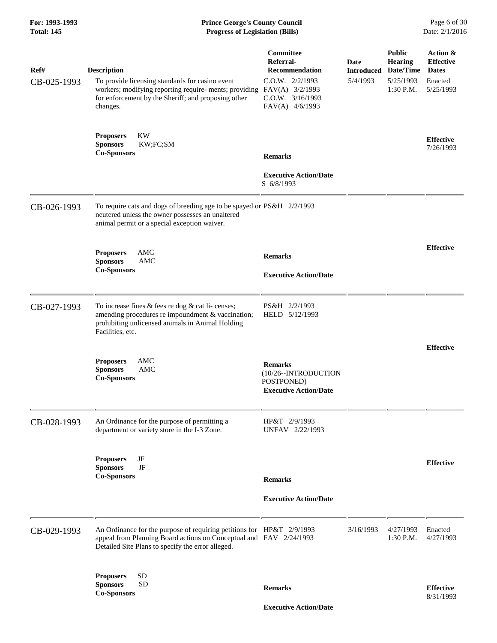# **For: 1993-1993 Prince George's County Council** Page 6 of 30<br>**Prince George's County Council** Page 6 of 30<br>**Progress of Legislation (Bills)** Date: 2/1/2016 **Total: 145 Progress of Legislation (Bills)**

| Ref#<br>CB-025-1993 | <b>Description</b><br>To provide licensing standards for casino event<br>workers; modifying reporting require- ments; providing FAV(A) 3/2/1993<br>for enforcement by the Sheriff; and proposing other<br>changes. | <b>Committee</b><br>Referral-<br><b>Recommendation</b><br>$C.0.W.$ $2/2/1993$<br>$C.0.W.$ $3/16/1993$<br>FAV(A) 4/6/1993 | Date<br><b>Introduced</b><br>5/4/1993 | <b>Public</b><br><b>Hearing</b><br>Date/Time<br>5/25/1993<br>$1:30$ P.M. | Action &<br><b>Effective</b><br><b>Dates</b><br>Enacted<br>5/25/1993 |
|---------------------|--------------------------------------------------------------------------------------------------------------------------------------------------------------------------------------------------------------------|--------------------------------------------------------------------------------------------------------------------------|---------------------------------------|--------------------------------------------------------------------------|----------------------------------------------------------------------|
|                     | <b>KW</b><br><b>Proposers</b><br><b>Sponsors</b><br>KW;FC;SM<br><b>Co-Sponsors</b>                                                                                                                                 | <b>Remarks</b>                                                                                                           |                                       |                                                                          | <b>Effective</b><br>7/26/1993                                        |
|                     |                                                                                                                                                                                                                    | <b>Executive Action/Date</b><br>S 6/8/1993                                                                               |                                       |                                                                          |                                                                      |
| CB-026-1993         | To require cats and dogs of breeding age to be spayed or PS&H 2/2/1993<br>neutered unless the owner possesses an unaltered<br>animal permit or a special exception waiver.                                         |                                                                                                                          |                                       |                                                                          |                                                                      |
|                     | AMC<br><b>Proposers</b>                                                                                                                                                                                            | <b>Remarks</b>                                                                                                           |                                       |                                                                          | <b>Effective</b>                                                     |
|                     | <b>Sponsors</b><br>AMC<br><b>Co-Sponsors</b>                                                                                                                                                                       | <b>Executive Action/Date</b>                                                                                             |                                       |                                                                          |                                                                      |
|                     |                                                                                                                                                                                                                    |                                                                                                                          |                                       |                                                                          |                                                                      |
| CB-027-1993         | To increase fines $&$ fees re dog $&$ cat li-censes;<br>amending procedures re impoundment & vaccination;<br>prohibiting unlicensed animals in Animal Holding<br>Facilities, etc.                                  | PS&H 2/2/1993<br>HELD 5/12/1993                                                                                          |                                       |                                                                          |                                                                      |
|                     | <b>Proposers</b><br>AMC<br>AMC<br><b>Sponsors</b><br><b>Co-Sponsors</b>                                                                                                                                            | <b>Remarks</b><br>(10/26--INTRODUCTION<br>POSTPONED)<br><b>Executive Action/Date</b>                                     |                                       |                                                                          | <b>Effective</b>                                                     |
| CB-028-1993         | An Ordinance for the purpose of permitting a<br>department or variety store in the I-3 Zone.                                                                                                                       | HP&T 2/9/1993<br>UNFAV 2/22/1993                                                                                         |                                       |                                                                          |                                                                      |
|                     | <b>Proposers</b><br>JF<br>JF<br><b>Sponsors</b><br><b>Co-Sponsors</b>                                                                                                                                              | <b>Remarks</b>                                                                                                           |                                       |                                                                          | <b>Effective</b>                                                     |
|                     |                                                                                                                                                                                                                    | <b>Executive Action/Date</b>                                                                                             |                                       |                                                                          |                                                                      |
| CB-029-1993         | An Ordinance for the purpose of requiring petitions for HP&T 2/9/1993<br>appeal from Planning Board actions on Conceptual and FAV 2/24/1993<br>Detailed Site Plans to specify the error alleged.                   |                                                                                                                          | 3/16/1993                             | 4/27/1993<br>1:30 P.M.                                                   | Enacted<br>4/27/1993                                                 |
|                     | <b>SD</b><br><b>Proposers</b><br><b>SD</b><br><b>Sponsors</b><br><b>Co-Sponsors</b>                                                                                                                                | <b>Remarks</b>                                                                                                           |                                       |                                                                          | <b>Effective</b><br>8/31/1993                                        |

 **Executive Action/Date**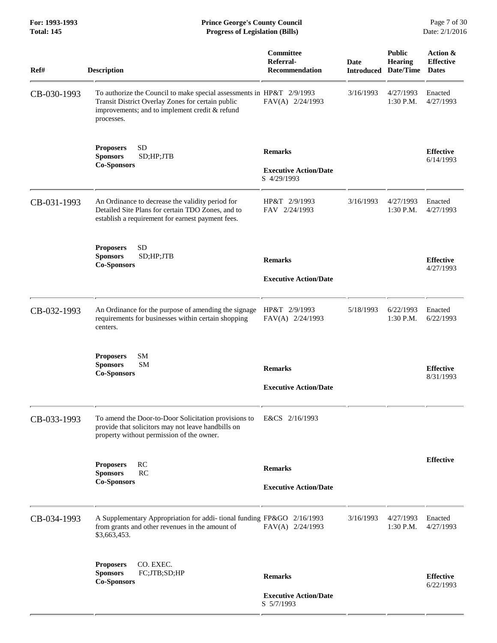**For: 1993-1993 Prince George's County Council** Page 7 of 30<br>**Prince George's County Council** Page 7 of 30<br>**Progress of Legislation (Bills)** Date: 2/1/2016 **Total: 145 Progress of Legislation (Bills)** 

| Ref#        | <b>Description</b>                                                                                                                                                                         | Committee<br>Referral-<br><b>Recommendation</b>               | Date      | <b>Public</b><br>Hearing<br><b>Introduced Date/Time</b> | Action &<br><b>Effective</b><br><b>Dates</b> |
|-------------|--------------------------------------------------------------------------------------------------------------------------------------------------------------------------------------------|---------------------------------------------------------------|-----------|---------------------------------------------------------|----------------------------------------------|
| CB-030-1993 | To authorize the Council to make special assessments in HP&T 2/9/1993<br>Transit District Overlay Zones for certain public<br>improvements; and to implement credit & refund<br>processes. | FAV(A) 2/24/1993                                              | 3/16/1993 | 4/27/1993<br>1:30 P.M.                                  | Enacted<br>4/27/1993                         |
|             | <b>SD</b><br><b>Proposers</b><br><b>Sponsors</b><br>SD;HP;JTB<br><b>Co-Sponsors</b>                                                                                                        | <b>Remarks</b><br><b>Executive Action/Date</b><br>S 4/29/1993 |           |                                                         | <b>Effective</b><br>6/14/1993                |
| CB-031-1993 | An Ordinance to decrease the validity period for<br>Detailed Site Plans for certain TDO Zones, and to<br>establish a requirement for earnest payment fees.                                 | HP&T 2/9/1993<br>FAV 2/24/1993                                | 3/16/1993 | 4/27/1993<br>1:30 P.M.                                  | Enacted<br>4/27/1993                         |
|             | <b>SD</b><br><b>Proposers</b><br><b>Sponsors</b><br>SD;HP;JTB<br><b>Co-Sponsors</b>                                                                                                        | <b>Remarks</b><br><b>Executive Action/Date</b>                |           |                                                         | <b>Effective</b><br>4/27/1993                |
| CB-032-1993 | An Ordinance for the purpose of amending the signage<br>requirements for businesses within certain shopping<br>centers.                                                                    | HP&T 2/9/1993<br>FAV(A) 2/24/1993                             | 5/18/1993 | 6/22/1993<br>1:30 P.M.                                  | Enacted<br>6/22/1993                         |
|             | SM<br><b>Proposers</b><br><b>SM</b><br><b>Sponsors</b><br><b>Co-Sponsors</b>                                                                                                               | <b>Remarks</b><br><b>Executive Action/Date</b>                |           |                                                         | <b>Effective</b><br>8/31/1993                |
| CB-033-1993 | To amend the Door-to-Door Solicitation provisions to<br>provide that solicitors may not leave handbills on<br>property without permission of the owner.                                    | E&CS 2/16/1993                                                |           |                                                         |                                              |
|             | RC<br><b>Proposers</b><br><b>Sponsors</b><br>RC<br><b>Co-Sponsors</b>                                                                                                                      | <b>Remarks</b><br><b>Executive Action/Date</b>                |           |                                                         | <b>Effective</b>                             |
| CB-034-1993 | A Supplementary Appropriation for addi-tional funding FP&GO 2/16/1993<br>from grants and other revenues in the amount of<br>\$3,663,453.                                                   | FAV(A) 2/24/1993                                              | 3/16/1993 | 4/27/1993<br>1:30 P.M.                                  | Enacted<br>4/27/1993                         |
|             | CO. EXEC.<br><b>Proposers</b><br><b>Sponsors</b><br>FC;JTB;SD;HP<br><b>Co-Sponsors</b>                                                                                                     | <b>Remarks</b><br><b>Executive Action/Date</b><br>S 5/7/1993  |           |                                                         | <b>Effective</b><br>6/22/1993                |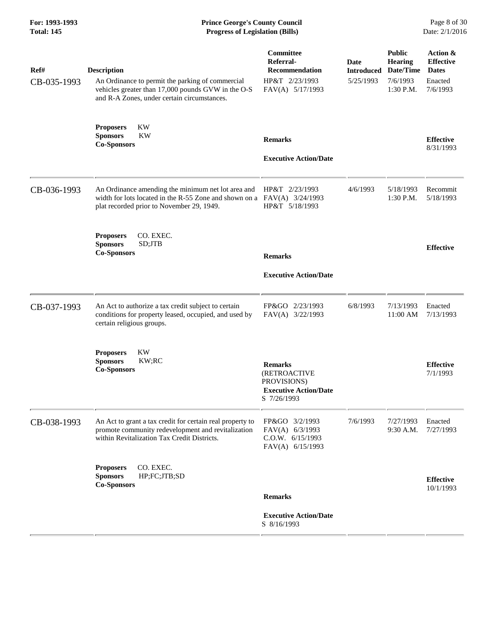### **For: 1993-1993 Prince George's County Council** Page 8 of 30<br> **Prince George's County Council** Page 8 of 30<br> **Progress of Legislation (Bills)** Date: 2/1/2016 **Total: 145 Progress of Legislation (Bills)**

| Ref#<br>CB-035-1993 | <b>Description</b><br>An Ordinance to permit the parking of commercial<br>vehicles greater than 17,000 pounds GVW in the O-S<br>and R-A Zones, under certain circumstances.  | Committee<br>Referral-<br><b>Recommendation</b><br>HP&T 2/23/1993<br>FAV(A) 5/17/1993        | Date<br><b>Introduced</b><br>5/25/1993 | <b>Public</b><br>Hearing<br>Date/Time<br>7/6/1993<br>1:30 P.M. | Action &<br><b>Effective</b><br><b>Dates</b><br>Enacted<br>7/6/1993 |
|---------------------|------------------------------------------------------------------------------------------------------------------------------------------------------------------------------|----------------------------------------------------------------------------------------------|----------------------------------------|----------------------------------------------------------------|---------------------------------------------------------------------|
|                     | KW<br><b>Proposers</b><br><b>Sponsors</b><br>KW<br><b>Co-Sponsors</b>                                                                                                        | <b>Remarks</b><br><b>Executive Action/Date</b>                                               |                                        |                                                                | <b>Effective</b><br>8/31/1993                                       |
| CB-036-1993         | An Ordinance amending the minimum net lot area and<br>width for lots located in the R-55 Zone and shown on a $FAV(A)$ 3/24/1993<br>plat recorded prior to November 29, 1949. | HP&T 2/23/1993<br>HP&T 5/18/1993                                                             | 4/6/1993                               | 5/18/1993<br>1:30 P.M.                                         | Recommit<br>5/18/1993                                               |
|                     | CO. EXEC.<br><b>Proposers</b><br><b>Sponsors</b><br>SD;JTB<br><b>Co-Sponsors</b>                                                                                             | <b>Remarks</b><br><b>Executive Action/Date</b>                                               |                                        |                                                                | <b>Effective</b>                                                    |
| CB-037-1993         | An Act to authorize a tax credit subject to certain<br>conditions for property leased, occupied, and used by<br>certain religious groups.                                    | FP&GO 2/23/1993<br>FAV(A) 3/22/1993                                                          | 6/8/1993                               | 7/13/1993<br>11:00 AM                                          | Enacted<br>7/13/1993                                                |
|                     | KW<br><b>Proposers</b><br><b>Sponsors</b><br>KW;RC<br><b>Co-Sponsors</b>                                                                                                     | <b>Remarks</b><br>(RETROACTIVE<br>PROVISIONS)<br><b>Executive Action/Date</b><br>S 7/26/1993 |                                        |                                                                | <b>Effective</b><br>7/1/1993                                        |
| CB-038-1993         | An Act to grant a tax credit for certain real property to<br>promote community redevelopment and revitalization<br>within Revitalization Tax Credit Districts.               | FP&GO 3/2/1993<br>FAV(A) 6/3/1993<br>C.0.W. 6/15/1993<br>FAV(A) 6/15/1993                    | 7/6/1993                               | 7/27/1993<br>9:30 A.M.                                         | Enacted<br>7/27/1993                                                |
|                     | CO. EXEC.<br><b>Proposers</b><br><b>Sponsors</b><br>HP;FC;JTB;SD<br><b>Co-Sponsors</b>                                                                                       | <b>Remarks</b><br><b>Executive Action/Date</b><br>S 8/16/1993                                |                                        |                                                                | <b>Effective</b><br>10/1/1993                                       |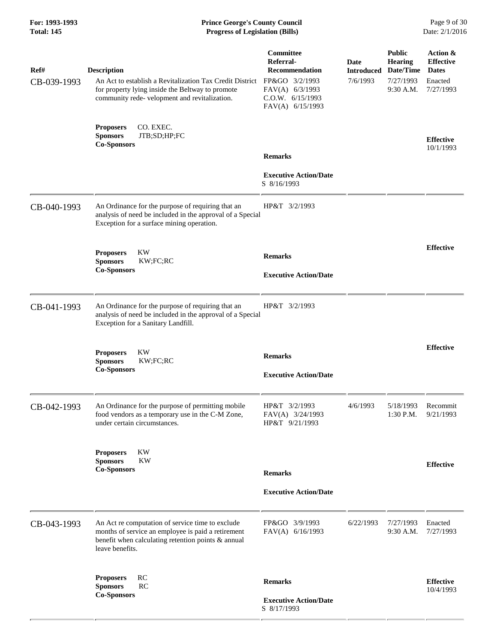# **For: 1993-1993 Prince George's County Council** Page 9 of 30<br>**Prince George's County Council** Page 9 of 30<br>**Progress of Legislation (Bills)** Date: 2/1/2016 **Total: 145 Progress of Legislation (Bills)**

| Ref#<br>CB-039-1993 | <b>Description</b><br>An Act to establish a Revitalization Tax Credit District<br>for property lying inside the Beltway to promote<br>community rede-velopment and revitalization. | Committee<br>Referral-<br><b>Recommendation</b><br>FP&GO 3/2/1993<br>FAV(A) 6/3/1993<br>C.O.W. 6/15/1993<br>FAV(A) 6/15/1993 | Date<br><b>Introduced</b><br>7/6/1993 | <b>Public</b><br><b>Hearing</b><br>Date/Time<br>7/27/1993<br>9:30 A.M. | Action &<br><b>Effective</b><br><b>Dates</b><br>Enacted<br>7/27/1993 |
|---------------------|------------------------------------------------------------------------------------------------------------------------------------------------------------------------------------|------------------------------------------------------------------------------------------------------------------------------|---------------------------------------|------------------------------------------------------------------------|----------------------------------------------------------------------|
|                     | CO. EXEC.<br><b>Proposers</b><br>JTB;SD;HP;FC<br><b>Sponsors</b><br><b>Co-Sponsors</b>                                                                                             | <b>Remarks</b>                                                                                                               |                                       |                                                                        | <b>Effective</b><br>10/1/1993                                        |
|                     |                                                                                                                                                                                    | <b>Executive Action/Date</b><br>S 8/16/1993                                                                                  |                                       |                                                                        |                                                                      |
| CB-040-1993         | An Ordinance for the purpose of requiring that an<br>analysis of need be included in the approval of a Special<br>Exception for a surface mining operation.                        | HP&T 3/2/1993                                                                                                                |                                       |                                                                        |                                                                      |
|                     | <b>KW</b><br><b>Proposers</b><br><b>Sponsors</b><br>KW;FC;RC                                                                                                                       | <b>Remarks</b>                                                                                                               |                                       |                                                                        | <b>Effective</b>                                                     |
|                     | <b>Co-Sponsors</b>                                                                                                                                                                 | <b>Executive Action/Date</b>                                                                                                 |                                       |                                                                        |                                                                      |
| CB-041-1993         | An Ordinance for the purpose of requiring that an<br>analysis of need be included in the approval of a Special<br>Exception for a Sanitary Landfill.                               | HP&T 3/2/1993                                                                                                                |                                       |                                                                        |                                                                      |
|                     | KW<br><b>Proposers</b><br><b>Sponsors</b><br>KW;FC;RC<br><b>Co-Sponsors</b>                                                                                                        | <b>Remarks</b><br><b>Executive Action/Date</b>                                                                               |                                       |                                                                        | <b>Effective</b>                                                     |
| CB-042-1993         | An Ordinance for the purpose of permitting mobile<br>food vendors as a temporary use in the C-M Zone,<br>under certain circumstances.                                              | HP&T 3/2/1993<br>FAV(A) 3/24/1993<br>HP&T 9/21/1993                                                                          | 4/6/1993                              | 5/18/1993<br>1:30 P.M.                                                 | Recommit<br>9/21/1993                                                |
|                     | <b>KW</b><br><b>Proposers</b><br><b>Sponsors</b><br><b>KW</b><br><b>Co-Sponsors</b>                                                                                                | <b>Remarks</b>                                                                                                               |                                       |                                                                        | <b>Effective</b>                                                     |
|                     |                                                                                                                                                                                    | <b>Executive Action/Date</b>                                                                                                 |                                       |                                                                        |                                                                      |
| CB-043-1993         | An Act re computation of service time to exclude<br>months of service an employee is paid a retirement<br>benefit when calculating retention points & annual<br>leave benefits.    | FP&GO 3/9/1993<br>FAV(A) 6/16/1993                                                                                           | 6/22/1993                             | 7/27/1993<br>9:30 A.M.                                                 | Enacted<br>7/27/1993                                                 |
|                     | RC<br><b>Proposers</b><br><b>RC</b><br><b>Sponsors</b><br><b>Co-Sponsors</b>                                                                                                       | <b>Remarks</b><br><b>Executive Action/Date</b><br>S 8/17/1993                                                                |                                       |                                                                        | <b>Effective</b><br>10/4/1993                                        |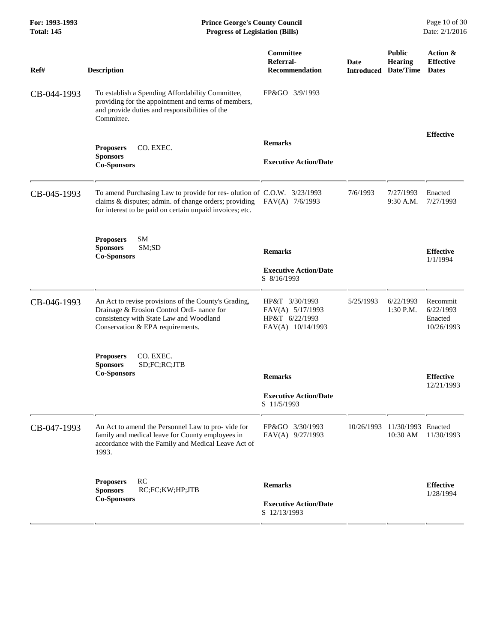| For: 1993-1993<br><b>Total: 145</b> | <b>Prince George's County Council</b><br><b>Progress of Legislation (Bills)</b>                                                                                                             |                                                                           |                    |                                              | Page 10 of 30<br>Date: 2/1/2016                |
|-------------------------------------|---------------------------------------------------------------------------------------------------------------------------------------------------------------------------------------------|---------------------------------------------------------------------------|--------------------|----------------------------------------------|------------------------------------------------|
| Ref#                                | <b>Description</b>                                                                                                                                                                          | <b>Committee</b><br>Referral-<br><b>Recommendation</b>                    | Date<br>Introduced | <b>Public</b><br><b>Hearing</b><br>Date/Time | Action &<br><b>Effective</b><br><b>Dates</b>   |
| CB-044-1993                         | To establish a Spending Affordability Committee,<br>providing for the appointment and terms of members,<br>and provide duties and responsibilities of the<br>Committee.                     | FP&GO 3/9/1993                                                            |                    |                                              |                                                |
|                                     |                                                                                                                                                                                             | <b>Remarks</b>                                                            |                    |                                              | <b>Effective</b>                               |
|                                     | CO. EXEC.<br><b>Proposers</b><br><b>Sponsors</b><br><b>Co-Sponsors</b>                                                                                                                      | <b>Executive Action/Date</b>                                              |                    |                                              |                                                |
| CB-045-1993                         | To amend Purchasing Law to provide for res-olution of C.O.W. 3/23/1993<br>claims & disputes; admin. of change orders; providing<br>for interest to be paid on certain unpaid invoices; etc. | $FAV(A)$ 7/6/1993                                                         | 7/6/1993           | 7/27/1993<br>$9:30$ A.M.                     | Enacted<br>7/27/1993                           |
|                                     | <b>Proposers</b><br><b>SM</b><br>SM;SD<br><b>Sponsors</b><br><b>Co-Sponsors</b>                                                                                                             | <b>Remarks</b>                                                            |                    |                                              | <b>Effective</b><br>1/1/1994                   |
|                                     |                                                                                                                                                                                             | <b>Executive Action/Date</b><br>S 8/16/1993                               |                    |                                              |                                                |
| CB-046-1993                         | An Act to revise provisions of the County's Grading,<br>Drainage & Erosion Control Ordi- nance for<br>consistency with State Law and Woodland<br>Conservation & EPA requirements.           | HP&T 3/30/1993<br>FAV(A) 5/17/1993<br>HP&T 6/22/1993<br>FAV(A) 10/14/1993 | 5/25/1993          | 6/22/1993<br>1:30 P.M.                       | Recommit<br>6/22/1993<br>Enacted<br>10/26/1993 |
|                                     | <b>Proposers</b><br>CO. EXEC.<br>SD;FC;RC;JTB<br><b>Sponsors</b><br><b>Co-Sponsors</b>                                                                                                      | <b>Remarks</b>                                                            |                    |                                              | <b>Effective</b><br>12/21/1993                 |
|                                     |                                                                                                                                                                                             | <b>Executive Action/Date</b><br>S 11/5/1993                               |                    |                                              |                                                |
| CB-047-1993                         | An Act to amend the Personnel Law to pro-vide for<br>family and medical leave for County employees in<br>accordance with the Family and Medical Leave Act of<br>1993.                       | FP&GO 3/30/1993<br>FAV(A) 9/27/1993                                       | 10/26/1993         | 11/30/1993 Enacted<br>10:30 AM               | 11/30/1993                                     |
|                                     | RC<br><b>Proposers</b><br><b>Sponsors</b><br>RC;FC;KW;HP;JTB<br><b>Co-Sponsors</b>                                                                                                          | <b>Remarks</b><br><b>Executive Action/Date</b><br>S 12/13/1993            |                    |                                              | <b>Effective</b><br>1/28/1994                  |
|                                     |                                                                                                                                                                                             |                                                                           |                    |                                              |                                                |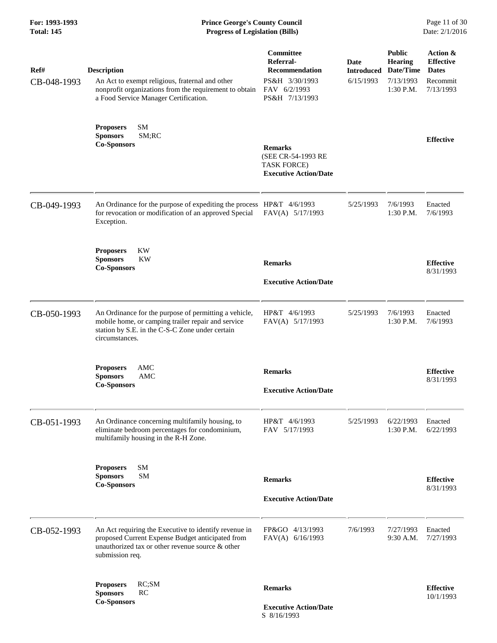| For: 1993-1993<br><b>Total: 145</b> | <b>Prince George's County Council</b><br>Date: 2/1/2016<br><b>Progress of Legislation (Bills)</b>                                                                                |                                                                                                            |                                               |                                                                          |                                                                       |
|-------------------------------------|----------------------------------------------------------------------------------------------------------------------------------------------------------------------------------|------------------------------------------------------------------------------------------------------------|-----------------------------------------------|--------------------------------------------------------------------------|-----------------------------------------------------------------------|
| Ref#<br>CB-048-1993                 | <b>Description</b><br>An Act to exempt religious, fraternal and other<br>nonprofit organizations from the requirement to obtain<br>a Food Service Manager Certification.         | <b>Committee</b><br>Referral-<br><b>Recommendation</b><br>PS&H 3/30/1993<br>FAV 6/2/1993<br>PS&H 7/13/1993 | <b>Date</b><br><b>Introduced</b><br>6/15/1993 | <b>Public</b><br><b>Hearing</b><br>Date/Time<br>7/13/1993<br>$1:30$ P.M. | Action &<br><b>Effective</b><br><b>Dates</b><br>Recommit<br>7/13/1993 |
|                                     | SM<br><b>Proposers</b><br>SM;RC<br><b>Sponsors</b><br><b>Co-Sponsors</b>                                                                                                         | <b>Remarks</b><br>(SEE CR-54-1993 RE<br><b>TASK FORCE)</b><br><b>Executive Action/Date</b>                 |                                               |                                                                          | <b>Effective</b>                                                      |
| CB-049-1993                         | An Ordinance for the purpose of expediting the process HP&T 4/6/1993<br>for revocation or modification of an approved Special<br>Exception.                                      | FAV(A) 5/17/1993                                                                                           | 5/25/1993                                     | 7/6/1993<br>1:30 P.M.                                                    | Enacted<br>7/6/1993                                                   |
|                                     | KW<br><b>Proposers</b><br><b>Sponsors</b><br><b>KW</b><br><b>Co-Sponsors</b>                                                                                                     | <b>Remarks</b><br><b>Executive Action/Date</b>                                                             |                                               |                                                                          | <b>Effective</b><br>8/31/1993                                         |
| CB-050-1993                         | An Ordinance for the purpose of permitting a vehicle,<br>mobile home, or camping trailer repair and service<br>station by S.E. in the C-S-C Zone under certain<br>circumstances. | HP&T 4/6/1993<br>FAV(A) 5/17/1993                                                                          | 5/25/1993                                     | 7/6/1993<br>1:30 P.M.                                                    | Enacted<br>7/6/1993                                                   |
|                                     | AMC<br><b>Proposers</b><br>AMC<br><b>Sponsors</b><br><b>Co-Sponsors</b>                                                                                                          | <b>Remarks</b><br><b>Executive Action/Date</b>                                                             |                                               |                                                                          | <b>Effective</b><br>8/31/1993                                         |
| CB-051-1993                         | An Ordinance concerning multifamily housing, to<br>eliminate bedroom percentages for condominium,<br>multifamily housing in the R-H Zone.                                        | HP&T 4/6/1993<br>FAV 5/17/1993                                                                             | 5/25/1993                                     | 6/22/1993<br>1:30 P.M.                                                   | Enacted<br>6/22/1993                                                  |
|                                     | SM<br><b>Proposers</b><br><b>SM</b><br><b>Sponsors</b><br><b>Co-Sponsors</b>                                                                                                     | <b>Remarks</b><br><b>Executive Action/Date</b>                                                             |                                               |                                                                          | <b>Effective</b><br>8/31/1993                                         |
| CB-052-1993                         | An Act requiring the Executive to identify revenue in<br>proposed Current Expense Budget anticipated from<br>unauthorized tax or other revenue source & other<br>submission req. | 4/13/1993<br>FP&GO<br>FAV(A) 6/16/1993                                                                     | 7/6/1993                                      | 7/27/1993<br>9:30 A.M.                                                   | Enacted<br>7/27/1993                                                  |
|                                     | RC;SM<br><b>Proposers</b><br><b>Sponsors</b><br>RC<br><b>Co-Sponsors</b>                                                                                                         | <b>Remarks</b>                                                                                             |                                               |                                                                          | <b>Effective</b><br>10/1/1993                                         |
|                                     |                                                                                                                                                                                  | <b>Executive Action/Date</b>                                                                               |                                               |                                                                          |                                                                       |

S 8/16/1993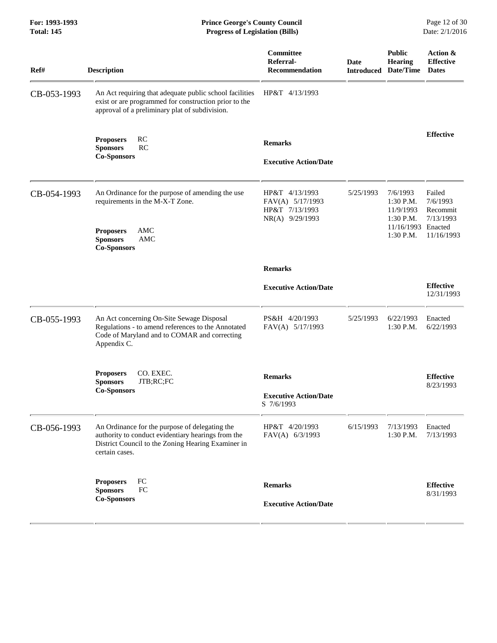**For: 1993-1993 Prince George's County Council** Page 12 of 30<br> **Prince George's County Council** Page 12 of 30<br> **Progress of Legislation (Bills)** Date: 2/1/2016 **Total: 145 Progress of Legislation (Bills)** 

| Ref#        | <b>Description</b>                                                                                                                                                           | Committee<br>Referral-<br><b>Recommendation</b>                         | <b>Date</b><br><b>Introduced</b> | <b>Public</b><br>Hearing<br>Date/Time                                                  | Action &<br><b>Effective</b><br><b>Dates</b>              |
|-------------|------------------------------------------------------------------------------------------------------------------------------------------------------------------------------|-------------------------------------------------------------------------|----------------------------------|----------------------------------------------------------------------------------------|-----------------------------------------------------------|
| CB-053-1993 | An Act requiring that adequate public school facilities<br>exist or are programmed for construction prior to the<br>approval of a preliminary plat of subdivision.           | HP&T 4/13/1993                                                          |                                  |                                                                                        |                                                           |
|             | <b>RC</b><br><b>Proposers</b><br>RC<br><b>Sponsors</b><br><b>Co-Sponsors</b>                                                                                                 | <b>Remarks</b><br><b>Executive Action/Date</b>                          |                                  |                                                                                        | <b>Effective</b>                                          |
| CB-054-1993 | An Ordinance for the purpose of amending the use<br>requirements in the M-X-T Zone.<br>AMC<br><b>Proposers</b><br>AMC<br><b>Sponsors</b><br><b>Co-Sponsors</b>               | HP&T 4/13/1993<br>FAV(A) 5/17/1993<br>HP&T 7/13/1993<br>NR(A) 9/29/1993 | 5/25/1993                        | 7/6/1993<br>$1:30$ P.M.<br>11/9/1993<br>$1:30$ P.M.<br>11/16/1993 Enacted<br>1:30 P.M. | Failed<br>7/6/1993<br>Recommit<br>7/13/1993<br>11/16/1993 |
|             |                                                                                                                                                                              | <b>Remarks</b>                                                          |                                  |                                                                                        |                                                           |
|             |                                                                                                                                                                              | <b>Executive Action/Date</b>                                            |                                  |                                                                                        | <b>Effective</b><br>12/31/1993                            |
| CB-055-1993 | An Act concerning On-Site Sewage Disposal<br>Regulations - to amend references to the Annotated<br>Code of Maryland and to COMAR and correcting<br>Appendix C.               | PS&H 4/20/1993<br>FAV(A) 5/17/1993                                      | 5/25/1993                        | 6/22/1993<br>1:30 P.M.                                                                 | Enacted<br>6/22/1993                                      |
|             | CO. EXEC.<br><b>Proposers</b>                                                                                                                                                | <b>Remarks</b>                                                          |                                  |                                                                                        | <b>Effective</b>                                          |
|             | <b>Sponsors</b><br>JTB;RC;FC<br><b>Co-Sponsors</b>                                                                                                                           | <b>Executive Action/Date</b><br>S 7/6/1993                              |                                  |                                                                                        | 8/23/1993                                                 |
| CB-056-1993 | An Ordinance for the purpose of delegating the<br>authority to conduct evidentiary hearings from the<br>District Council to the Zoning Hearing Examiner in<br>certain cases. | HP&T 4/20/1993<br>FAV(A) 6/3/1993                                       | 6/15/1993                        | 7/13/1993<br>1:30 P.M.                                                                 | Enacted<br>7/13/1993                                      |
|             | FC<br><b>Proposers</b><br>${\rm FC}$<br><b>Sponsors</b>                                                                                                                      | <b>Remarks</b>                                                          |                                  |                                                                                        | <b>Effective</b>                                          |
|             | <b>Co-Sponsors</b>                                                                                                                                                           | <b>Executive Action/Date</b>                                            |                                  |                                                                                        | 8/31/1993                                                 |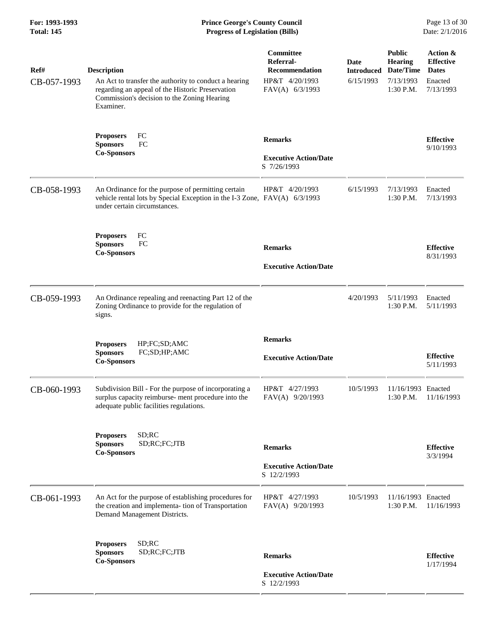| Ref#<br>CB-057-1993 | <b>Description</b><br>An Act to transfer the authority to conduct a hearing<br>regarding an appeal of the Historic Preservation<br>Commission's decision to the Zoning Hearing<br>Examiner. | Committee<br>Referral-<br>Recommendation<br>HP&T 4/20/1993<br>FAV(A) 6/3/1993 | Date<br><b>Introduced</b><br>6/15/1993 | <b>Public</b><br><b>Hearing</b><br>Date/Time<br>7/13/1993<br>$1:30$ P.M. | Action &<br><b>Effective</b><br><b>Dates</b><br>Enacted<br>7/13/1993 |
|---------------------|---------------------------------------------------------------------------------------------------------------------------------------------------------------------------------------------|-------------------------------------------------------------------------------|----------------------------------------|--------------------------------------------------------------------------|----------------------------------------------------------------------|
|                     | FC<br><b>Proposers</b><br>FC<br><b>Sponsors</b><br><b>Co-Sponsors</b>                                                                                                                       | <b>Remarks</b><br><b>Executive Action/Date</b><br>S 7/26/1993                 |                                        |                                                                          | <b>Effective</b><br>9/10/1993                                        |
| CB-058-1993         | An Ordinance for the purpose of permitting certain<br>vehicle rental lots by Special Exception in the I-3 Zone, FAV(A) 6/3/1993<br>under certain circumstances.                             | HP&T 4/20/1993                                                                | 6/15/1993                              | 7/13/1993<br>1:30 P.M.                                                   | Enacted<br>7/13/1993                                                 |
|                     | FC<br><b>Proposers</b><br><b>Sponsors</b><br>FC<br><b>Co-Sponsors</b>                                                                                                                       | <b>Remarks</b><br><b>Executive Action/Date</b>                                |                                        |                                                                          | <b>Effective</b><br>8/31/1993                                        |
| CB-059-1993         | An Ordinance repealing and reenacting Part 12 of the<br>Zoning Ordinance to provide for the regulation of<br>signs.                                                                         |                                                                               | 4/20/1993                              | 5/11/1993<br>$1:30$ P.M.                                                 | Enacted<br>5/11/1993                                                 |
|                     | HP;FC;SD;AMC<br><b>Proposers</b><br><b>Sponsors</b><br>FC;SD;HP;AMC<br><b>Co-Sponsors</b>                                                                                                   | <b>Remarks</b><br><b>Executive Action/Date</b>                                |                                        |                                                                          | <b>Effective</b><br>5/11/1993                                        |
| CB-060-1993         | Subdivision Bill - For the purpose of incorporating a<br>surplus capacity reimburse- ment procedure into the<br>adequate public facilities regulations.                                     | HP&T 4/27/1993<br>FAV(A) 9/20/1993                                            | 10/5/1993                              | 11/16/1993 Enacted<br>1:30 P.M.                                          | 11/16/1993                                                           |
|                     | SD; RC<br><b>Proposers</b><br><b>Sponsors</b><br>SD;RC;FC;JTB<br><b>Co-Sponsors</b>                                                                                                         | <b>Remarks</b><br><b>Executive Action/Date</b><br>S 12/2/1993                 |                                        |                                                                          | <b>Effective</b><br>3/3/1994                                         |
| CB-061-1993         | An Act for the purpose of establishing procedures for<br>the creation and implementa- tion of Transportation<br>Demand Management Districts.                                                | HP&T 4/27/1993<br>FAV(A) 9/20/1993                                            | 10/5/1993                              | 11/16/1993 Enacted<br>$1:30$ P.M.                                        | 11/16/1993                                                           |
|                     | SD; RC<br><b>Proposers</b><br>SD;RC;FC;JTB<br><b>Sponsors</b><br><b>Co-Sponsors</b>                                                                                                         | <b>Remarks</b><br><b>Executive Action/Date</b><br>S 12/2/1993                 |                                        |                                                                          | <b>Effective</b><br>1/17/1994                                        |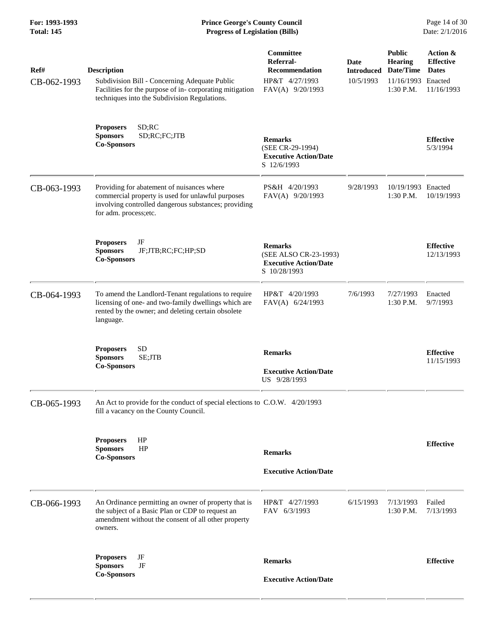| Ref#<br>CB-062-1993 | <b>Description</b><br>Subdivision Bill - Concerning Adequate Public<br>Facilities for the purpose of in-corporating mitigation<br>techniques into the Subdivision Regulations.   | Committee<br>Referral-<br><b>Recommendation</b><br>HP&T 4/27/1993<br>FAV(A) 9/20/1993   | Date<br><b>Introduced</b><br>10/5/1993 | <b>Public</b><br>Hearing<br>Date/Time<br>11/16/1993<br>1:30 P.M. | Action &<br><b>Effective</b><br><b>Dates</b><br>Enacted<br>11/16/1993 |
|---------------------|----------------------------------------------------------------------------------------------------------------------------------------------------------------------------------|-----------------------------------------------------------------------------------------|----------------------------------------|------------------------------------------------------------------|-----------------------------------------------------------------------|
|                     | SD; RC<br><b>Proposers</b><br><b>Sponsors</b><br>SD;RC;FC;JTB<br><b>Co-Sponsors</b>                                                                                              | <b>Remarks</b><br>(SEE CR-29-1994)<br><b>Executive Action/Date</b><br>S 12/6/1993       |                                        |                                                                  | <b>Effective</b><br>5/3/1994                                          |
| CB-063-1993         | Providing for abatement of nuisances where<br>commercial property is used for unlawful purposes<br>involving controlled dangerous substances; providing<br>for adm. process;etc. | PS&H 4/20/1993<br>FAV(A) 9/20/1993                                                      | 9/28/1993                              | 10/19/1993 Enacted<br>$1:30$ P.M.                                | 10/19/1993                                                            |
|                     | JF<br><b>Proposers</b><br><b>Sponsors</b><br>JF;JTB;RC;FC;HP;SD<br><b>Co-Sponsors</b>                                                                                            | <b>Remarks</b><br>(SEE ALSO CR-23-1993)<br><b>Executive Action/Date</b><br>S 10/28/1993 |                                        |                                                                  | <b>Effective</b><br>12/13/1993                                        |
| CB-064-1993         | To amend the Landlord-Tenant regulations to require<br>licensing of one- and two-family dwellings which are<br>rented by the owner; and deleting certain obsolete<br>language.   | HP&T 4/20/1993<br>FAV(A) 6/24/1993                                                      | 7/6/1993                               | 7/27/1993<br>$1:30$ P.M.                                         | Enacted<br>9/7/1993                                                   |
|                     | <b>SD</b><br><b>Proposers</b><br>SE;JTB<br><b>Sponsors</b><br><b>Co-Sponsors</b>                                                                                                 | <b>Remarks</b><br><b>Executive Action/Date</b><br>US 9/28/1993                          |                                        |                                                                  | <b>Effective</b><br>11/15/1993                                        |
| CB-065-1993         | An Act to provide for the conduct of special elections to C.O.W. 4/20/1993<br>fill a vacancy on the County Council.                                                              |                                                                                         |                                        |                                                                  |                                                                       |
|                     | HP<br><b>Proposers</b><br><b>Sponsors</b><br>HP<br><b>Co-Sponsors</b>                                                                                                            | <b>Remarks</b><br><b>Executive Action/Date</b>                                          |                                        |                                                                  | <b>Effective</b>                                                      |
| CB-066-1993         | An Ordinance permitting an owner of property that is<br>the subject of a Basic Plan or CDP to request an<br>amendment without the consent of all other property<br>owners.       | HP&T 4/27/1993<br>FAV 6/3/1993                                                          | 6/15/1993                              | 7/13/1993<br>1:30 P.M.                                           | Failed<br>7/13/1993                                                   |
|                     | JF<br><b>Proposers</b><br>JF<br><b>Sponsors</b><br><b>Co-Sponsors</b>                                                                                                            | <b>Remarks</b><br><b>Executive Action/Date</b>                                          |                                        |                                                                  | <b>Effective</b>                                                      |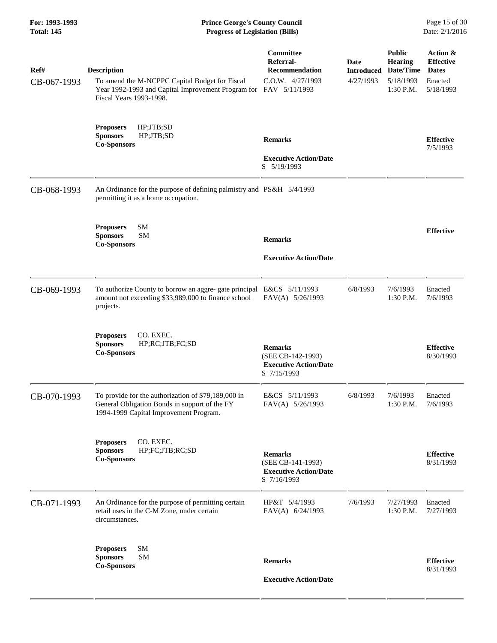**For: 1993-1993 Prince George's County Council** Page 15 of 30<br> **Prince George's County Council** Page 15 of 30<br> **Progress of Legislation (Bills)** Date: 2/1/2016 **Total: 145 Progress of Legislation (Bills)** 

| Ref#<br>CB-067-1993 | <b>Description</b><br>To amend the M-NCPPC Capital Budget for Fiscal<br>Year 1992-1993 and Capital Improvement Program for FAV 5/11/1993<br>Fiscal Years 1993-1998. | Committee<br>Referral-<br><b>Recommendation</b><br>C.O.W. 4/27/1993                | Date<br><b>Introduced</b><br>4/27/1993 | <b>Public</b><br><b>Hearing</b><br>Date/Time<br>5/18/1993<br>$1:30$ P.M. | Action &<br><b>Effective</b><br><b>Dates</b><br>Enacted<br>5/18/1993 |
|---------------------|---------------------------------------------------------------------------------------------------------------------------------------------------------------------|------------------------------------------------------------------------------------|----------------------------------------|--------------------------------------------------------------------------|----------------------------------------------------------------------|
|                     | <b>Proposers</b><br>HP;JTB;SD<br><b>Sponsors</b><br>HP;JTB;SD<br><b>Co-Sponsors</b>                                                                                 | <b>Remarks</b><br><b>Executive Action/Date</b><br>S 5/19/1993                      |                                        |                                                                          | <b>Effective</b><br>7/5/1993                                         |
| CB-068-1993         | An Ordinance for the purpose of defining palmistry and PS&H 5/4/1993<br>permitting it as a home occupation.                                                         |                                                                                    |                                        |                                                                          |                                                                      |
|                     | SM<br><b>Proposers</b><br><b>SM</b><br><b>Sponsors</b><br><b>Co-Sponsors</b>                                                                                        | <b>Remarks</b><br><b>Executive Action/Date</b>                                     |                                        |                                                                          | <b>Effective</b>                                                     |
| CB-069-1993         | To authorize County to borrow an aggre-gate principal E&CS 5/11/1993<br>amount not exceeding \$33,989,000 to finance school<br>projects.                            | FAV(A) 5/26/1993                                                                   | 6/8/1993                               | 7/6/1993<br>1:30 P.M.                                                    | Enacted<br>7/6/1993                                                  |
|                     | CO. EXEC.<br><b>Proposers</b><br><b>Sponsors</b><br>HP;RC;JTB;FC;SD<br><b>Co-Sponsors</b>                                                                           | <b>Remarks</b><br>(SEE CB-142-1993)<br><b>Executive Action/Date</b><br>S 7/15/1993 |                                        |                                                                          | <b>Effective</b><br>8/30/1993                                        |
| CB-070-1993         | To provide for the authorization of \$79,189,000 in<br>General Obligation Bonds in support of the FY<br>1994-1999 Capital Improvement Program.                      | E&CS 5/11/1993<br>FAV(A) 5/26/1993                                                 | 6/8/1993                               | 7/6/1993<br>$1:30$ P.M.                                                  | Enacted<br>7/6/1993                                                  |
|                     | CO. EXEC.<br><b>Proposers</b><br>HP;FC;JTB;RC;SD<br><b>Sponsors</b><br><b>Co-Sponsors</b>                                                                           | <b>Remarks</b><br>(SEE CB-141-1993)<br><b>Executive Action/Date</b><br>S 7/16/1993 |                                        |                                                                          | <b>Effective</b><br>8/31/1993                                        |
| CB-071-1993         | An Ordinance for the purpose of permitting certain<br>retail uses in the C-M Zone, under certain<br>circumstances.                                                  | HP&T 5/4/1993<br>$FAV(A)$ 6/24/1993                                                | 7/6/1993                               | 7/27/1993<br>1:30 P.M.                                                   | Enacted<br>7/27/1993                                                 |
|                     | SM<br><b>Proposers</b><br>SM<br><b>Sponsors</b><br><b>Co-Sponsors</b>                                                                                               | <b>Remarks</b><br><b>Executive Action/Date</b>                                     |                                        |                                                                          | <b>Effective</b><br>8/31/1993                                        |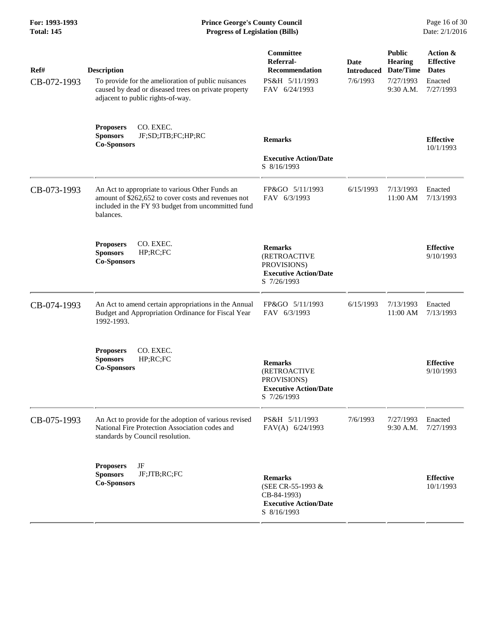### **For: 1993-1993 Prince George's County Council** Page 16 of 30<br> **Prince George's County Council** Page 16 of 30<br> **Progress of Legislation (Bills)** Date: 2/1/2016 **Total: 145 Progress of Legislation (Bills)**

| Ref#<br>CB-072-1993 | <b>Description</b><br>To provide for the amelioration of public nuisances<br>caused by dead or diseased trees on private property<br>adjacent to public rights-of-way.    | Committee<br>Referral-<br>Recommendation<br>PS&H 5/11/1993<br>FAV 6/24/1993                         | <b>Date</b><br><b>Introduced</b><br>7/6/1993 | <b>Public</b><br><b>Hearing</b><br>Date/Time<br>7/27/1993<br>9:30 A.M. | Action &<br><b>Effective</b><br><b>Dates</b><br>Enacted<br>7/27/1993 |
|---------------------|---------------------------------------------------------------------------------------------------------------------------------------------------------------------------|-----------------------------------------------------------------------------------------------------|----------------------------------------------|------------------------------------------------------------------------|----------------------------------------------------------------------|
|                     | CO. EXEC.<br><b>Proposers</b><br><b>Sponsors</b><br>JF;SD;JTB;FC;HP;RC<br><b>Co-Sponsors</b>                                                                              | <b>Remarks</b><br><b>Executive Action/Date</b><br>S 8/16/1993                                       |                                              |                                                                        | <b>Effective</b><br>10/1/1993                                        |
| CB-073-1993         | An Act to appropriate to various Other Funds an<br>amount of \$262,652 to cover costs and revenues not<br>included in the FY 93 budget from uncommitted fund<br>balances. | FP&GO 5/11/1993<br>FAV 6/3/1993                                                                     | 6/15/1993                                    | 7/13/1993<br>11:00 AM                                                  | Enacted<br>7/13/1993                                                 |
|                     | CO. EXEC.<br><b>Proposers</b><br><b>Sponsors</b><br>HP;RC;FC<br><b>Co-Sponsors</b>                                                                                        | <b>Remarks</b><br><b>(RETROACTIVE</b><br>PROVISIONS)<br><b>Executive Action/Date</b><br>S 7/26/1993 |                                              |                                                                        | <b>Effective</b><br>9/10/1993                                        |
| CB-074-1993         | An Act to amend certain appropriations in the Annual<br>Budget and Appropriation Ordinance for Fiscal Year<br>1992-1993.                                                  | FP&GO 5/11/1993<br>FAV 6/3/1993                                                                     | 6/15/1993                                    | 7/13/1993<br>11:00 AM                                                  | Enacted<br>7/13/1993                                                 |
|                     | CO. EXEC.<br><b>Proposers</b><br><b>Sponsors</b><br>HP; RC; FC<br><b>Co-Sponsors</b>                                                                                      | <b>Remarks</b><br><b>(RETROACTIVE</b><br>PROVISIONS)<br><b>Executive Action/Date</b><br>S 7/26/1993 |                                              |                                                                        | <b>Effective</b><br>9/10/1993                                        |
| CB-075-1993         | An Act to provide for the adoption of various revised<br>National Fire Protection Association codes and<br>standards by Council resolution.                               | PS&H 5/11/1993<br>FAV(A) 6/24/1993                                                                  | 7/6/1993                                     | 7/27/1993<br>9:30 A.M.                                                 | Enacted<br>7/27/1993                                                 |
|                     | JF<br><b>Proposers</b><br><b>Sponsors</b><br>JF;JTB;RC;FC<br><b>Co-Sponsors</b>                                                                                           | <b>Remarks</b><br>(SEE CR-55-1993 &<br>CB-84-1993)<br><b>Executive Action/Date</b><br>S 8/16/1993   |                                              |                                                                        | <b>Effective</b><br>10/1/1993                                        |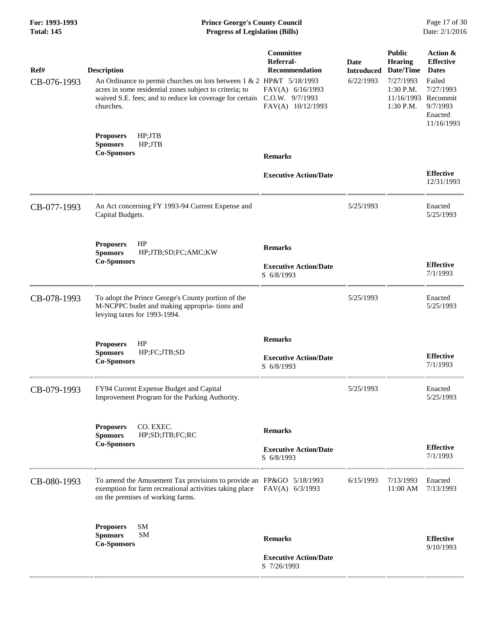# **For: 1993-1993 Prince George's County Council** Page 17 of 30<br> **Prince George's County Council** Page 17 of 30<br> **Progress of Legislation (Bills)** Date: 2/1/2016 **Total: 145 Progress of Legislation (Bills)**

| Ref#        | <b>Description</b>                                                                                                                                                                                       | Committee<br>Referral-<br><b>Recommendation</b>               | <b>Date</b><br><b>Introduced</b> | <b>Public</b><br><b>Hearing</b><br>Date/Time                 | Action &<br><b>Effective</b><br><b>Dates</b>             |
|-------------|----------------------------------------------------------------------------------------------------------------------------------------------------------------------------------------------------------|---------------------------------------------------------------|----------------------------------|--------------------------------------------------------------|----------------------------------------------------------|
| CB-076-1993 | An Ordinance to permit churches on lots between 1 & 2 HP&T 5/18/1993<br>acres in some residential zones subject to criteria; to<br>waived S.E. fees; and to reduce lot coverage for certain<br>churches. | FAV(A) 6/16/1993<br>C.O.W. 9/7/1993<br>FAV(A) 10/12/1993      | 6/22/1993                        | 7/27/1993<br>1:30 P.M.<br>11/16/1993 Recommit<br>$1:30$ P.M. | Failed<br>7/27/1993<br>9/7/1993<br>Enacted<br>11/16/1993 |
|             | HP;JTB<br><b>Proposers</b><br><b>Sponsors</b><br>HP;JTB<br><b>Co-Sponsors</b>                                                                                                                            | <b>Remarks</b>                                                |                                  |                                                              |                                                          |
|             |                                                                                                                                                                                                          | <b>Executive Action/Date</b>                                  |                                  |                                                              | <b>Effective</b><br>12/31/1993                           |
| CB-077-1993 | An Act concerning FY 1993-94 Current Expense and<br>Capital Budgets.                                                                                                                                     |                                                               | 5/25/1993                        |                                                              | Enacted<br>5/25/1993                                     |
|             | HP<br><b>Proposers</b><br>HP;JTB;SD;FC;AMC;KW<br><b>Sponsors</b>                                                                                                                                         | <b>Remarks</b>                                                |                                  |                                                              |                                                          |
|             | <b>Co-Sponsors</b>                                                                                                                                                                                       | <b>Executive Action/Date</b><br>S 6/8/1993                    |                                  |                                                              | <b>Effective</b><br>7/1/1993                             |
| CB-078-1993 | To adopt the Prince George's County portion of the<br>M-NCPPC budet and making appropria- tions and<br>levying taxes for 1993-1994.                                                                      |                                                               | 5/25/1993                        |                                                              | Enacted<br>5/25/1993                                     |
|             | <b>Proposers</b><br>HP<br><b>Sponsors</b><br>HP;FC;JTB;SD<br><b>Co-Sponsors</b>                                                                                                                          | <b>Remarks</b><br><b>Executive Action/Date</b><br>S 6/8/1993  |                                  |                                                              | <b>Effective</b><br>7/1/1993                             |
| CB-079-1993 | FY94 Current Expense Budget and Capital<br>Improvement Program for the Parking Authority.                                                                                                                |                                                               | 5/25/1993                        |                                                              | Enacted<br>5/25/1993                                     |
|             | <b>Proposers</b><br>CO. EXEC.<br>HP;SD;JTB;FC;RC<br><b>Sponsors</b>                                                                                                                                      | <b>Remarks</b>                                                |                                  |                                                              |                                                          |
|             | <b>Co-Sponsors</b>                                                                                                                                                                                       | <b>Executive Action/Date</b><br>S 6/8/1993                    |                                  |                                                              | <b>Effective</b><br>7/1/1993                             |
| CB-080-1993 | To amend the Amusement Tax provisions to provide an FP&GO 5/18/1993<br>exemption for farm recreational activities taking place<br>on the premises of working farms.                                      | FAV(A) 6/3/1993                                               | 6/15/1993                        | 7/13/1993<br>11:00 AM                                        | Enacted<br>7/13/1993                                     |
|             | <b>SM</b><br><b>Proposers</b><br><b>SM</b><br><b>Sponsors</b>                                                                                                                                            |                                                               |                                  |                                                              |                                                          |
|             | <b>Co-Sponsors</b>                                                                                                                                                                                       | <b>Remarks</b><br><b>Executive Action/Date</b><br>S 7/26/1993 |                                  |                                                              | <b>Effective</b><br>9/10/1993                            |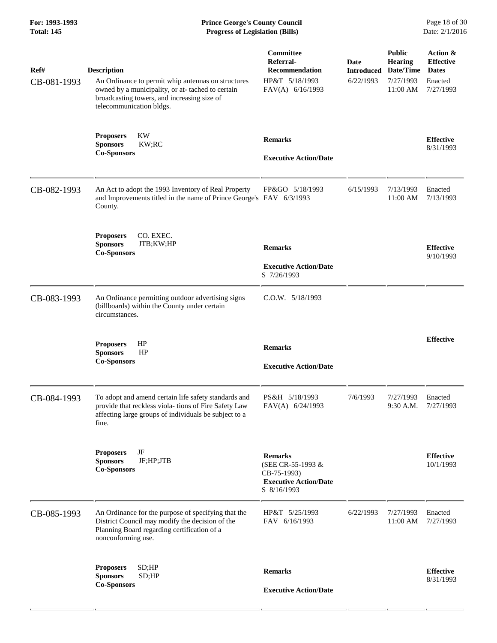| Ref#<br>CB-081-1993 | <b>Description</b><br>An Ordinance to permit whip antennas on structures<br>owned by a municipality, or at-tached to certain<br>broadcasting towers, and increasing size of<br>telecommunication bldgs. | Committee<br>Referral-<br><b>Recommendation</b><br>HP&T 5/18/1993<br>FAV(A) 6/16/1993             | Date<br><b>Introduced</b><br>6/22/1993 | <b>Public</b><br><b>Hearing</b><br>Date/Time<br>7/27/1993<br>11:00 AM | Action &<br><b>Effective</b><br><b>Dates</b><br>Enacted<br>7/27/1993 |
|---------------------|---------------------------------------------------------------------------------------------------------------------------------------------------------------------------------------------------------|---------------------------------------------------------------------------------------------------|----------------------------------------|-----------------------------------------------------------------------|----------------------------------------------------------------------|
|                     | KW<br><b>Proposers</b><br><b>Sponsors</b><br>KW;RC<br><b>Co-Sponsors</b>                                                                                                                                | <b>Remarks</b><br><b>Executive Action/Date</b>                                                    |                                        |                                                                       | <b>Effective</b><br>8/31/1993                                        |
| CB-082-1993         | An Act to adopt the 1993 Inventory of Real Property<br>and Improvements titled in the name of Prince George's FAV 6/3/1993<br>County.                                                                   | FP&GO 5/18/1993                                                                                   | 6/15/1993                              | 7/13/1993<br>11:00 AM                                                 | Enacted<br>7/13/1993                                                 |
|                     | CO. EXEC.<br><b>Proposers</b><br><b>Sponsors</b><br>JTB;KW;HP<br><b>Co-Sponsors</b>                                                                                                                     | <b>Remarks</b><br><b>Executive Action/Date</b><br>S 7/26/1993                                     |                                        |                                                                       | <b>Effective</b><br>9/10/1993                                        |
| CB-083-1993         | An Ordinance permitting outdoor advertising signs<br>(billboards) within the County under certain<br>circumstances.                                                                                     | $C.0.W.$ $5/18/1993$                                                                              |                                        |                                                                       |                                                                      |
|                     | HP<br><b>Proposers</b><br>HP<br><b>Sponsors</b><br><b>Co-Sponsors</b>                                                                                                                                   | <b>Remarks</b><br><b>Executive Action/Date</b>                                                    |                                        |                                                                       | <b>Effective</b>                                                     |
| CB-084-1993         | To adopt and amend certain life safety standards and<br>provide that reckless viola-tions of Fire Safety Law<br>affecting large groups of individuals be subject to a<br>fine.                          | PS&H 5/18/1993<br>FAV(A) 6/24/1993                                                                | 7/6/1993                               | 7/27/1993<br>9:30 A.M.                                                | Enacted<br>7/27/1993                                                 |
|                     | JF<br><b>Proposers</b><br><b>Sponsors</b><br>JF;HP;JTB<br><b>Co-Sponsors</b>                                                                                                                            | <b>Remarks</b><br>(SEE CR-55-1993 &<br>CB-75-1993)<br><b>Executive Action/Date</b><br>S 8/16/1993 |                                        |                                                                       | <b>Effective</b><br>10/1/1993                                        |
| CB-085-1993         | An Ordinance for the purpose of specifying that the<br>District Council may modify the decision of the<br>Planning Board regarding certification of a<br>nonconforming use.                             | HP&T 5/25/1993<br>FAV 6/16/1993                                                                   | 6/22/1993                              | 7/27/1993<br>11:00 AM                                                 | Enacted<br>7/27/1993                                                 |
|                     | SD;HP<br><b>Proposers</b><br><b>Sponsors</b><br>SD;HP<br><b>Co-Sponsors</b>                                                                                                                             | <b>Remarks</b><br><b>Executive Action/Date</b>                                                    |                                        |                                                                       | <b>Effective</b><br>8/31/1993                                        |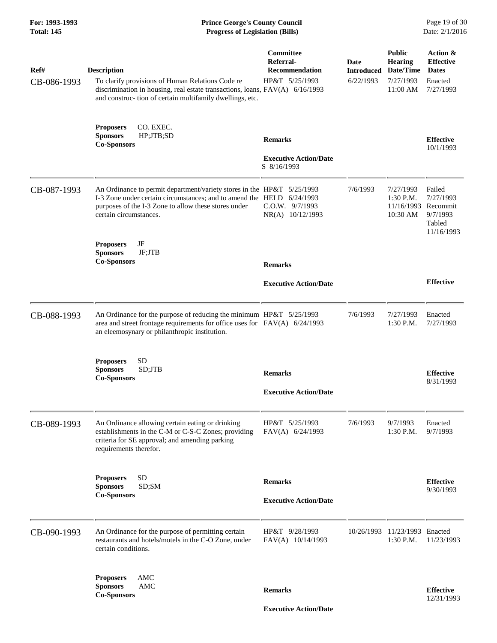| For: 1993-1993<br><b>Total: 145</b> | <b>Prince George's County Council</b><br>Page 19 of 30<br>Date: 2/1/2016<br><b>Progress of Legislation (Bills)</b>                                                                                                      |                                                                   |                                        |                                                                       |                                                                      |
|-------------------------------------|-------------------------------------------------------------------------------------------------------------------------------------------------------------------------------------------------------------------------|-------------------------------------------------------------------|----------------------------------------|-----------------------------------------------------------------------|----------------------------------------------------------------------|
| Ref#<br>CB-086-1993                 | <b>Description</b><br>To clarify provisions of Human Relations Code re<br>discrimination in housing, real estate transactions, loans, FAV(A) 6/16/1993<br>and construc- tion of certain multifamily dwellings, etc.     | <b>Committee</b><br>Referral-<br>Recommendation<br>HP&T 5/25/1993 | Date<br><b>Introduced</b><br>6/22/1993 | <b>Public</b><br><b>Hearing</b><br>Date/Time<br>7/27/1993<br>11:00 AM | Action &<br><b>Effective</b><br><b>Dates</b><br>Enacted<br>7/27/1993 |
|                                     | CO. EXEC.<br><b>Proposers</b><br>HP;JTB;SD<br><b>Sponsors</b><br><b>Co-Sponsors</b>                                                                                                                                     | <b>Remarks</b>                                                    |                                        |                                                                       | <b>Effective</b><br>10/1/1993                                        |
|                                     |                                                                                                                                                                                                                         | <b>Executive Action/Date</b><br>S 8/16/1993                       |                                        |                                                                       |                                                                      |
| CB-087-1993                         | An Ordinance to permit department/variety stores in the HP&T 5/25/1993<br>I-3 Zone under certain circumstances; and to amend the HELD<br>purposes of the I-3 Zone to allow these stores under<br>certain circumstances. | 6/24/1993<br>$C.0.W.$ 9/7/1993<br>NR(A) 10/12/1993                | 7/6/1993                               | 7/27/1993<br>$1:30$ P.M.<br>11/16/1993<br>10:30 AM                    | Failed<br>7/27/1993<br>Recommit<br>9/7/1993<br>Tabled<br>11/16/1993  |
|                                     | JF<br><b>Proposers</b><br>JF;JTB<br><b>Sponsors</b><br><b>Co-Sponsors</b>                                                                                                                                               |                                                                   |                                        |                                                                       |                                                                      |
|                                     |                                                                                                                                                                                                                         | <b>Remarks</b><br><b>Executive Action/Date</b>                    |                                        |                                                                       | <b>Effective</b>                                                     |
| CB-088-1993                         | An Ordinance for the purpose of reducing the minimum HP&T 5/25/1993<br>area and street frontage requirements for office uses for FAV(A) 6/24/1993<br>an eleemosynary or philanthropic institution.                      |                                                                   | 7/6/1993                               | 7/27/1993<br>1:30 P.M.                                                | Enacted<br>7/27/1993                                                 |
|                                     | <b>SD</b><br><b>Proposers</b><br>SD;JTB<br><b>Sponsors</b><br><b>Co-Sponsors</b>                                                                                                                                        | <b>Remarks</b>                                                    |                                        |                                                                       | <b>Effective</b><br>8/31/1993                                        |
|                                     |                                                                                                                                                                                                                         | <b>Executive Action/Date</b>                                      |                                        |                                                                       |                                                                      |
| CB-089-1993                         | An Ordinance allowing certain eating or drinking<br>establishments in the C-M or C-S-C Zones; providing<br>criteria for SE approval; and amending parking<br>requirements therefor.                                     | HP&T 5/25/1993<br>FAV(A) 6/24/1993                                | 7/6/1993                               | 9/7/1993<br>1:30 P.M.                                                 | Enacted<br>9/7/1993                                                  |
|                                     | <b>Proposers</b><br>SD                                                                                                                                                                                                  | <b>Remarks</b>                                                    |                                        |                                                                       | <b>Effective</b>                                                     |
|                                     | SD;SM<br><b>Sponsors</b><br><b>Co-Sponsors</b>                                                                                                                                                                          | <b>Executive Action/Date</b>                                      |                                        |                                                                       | 9/30/1993                                                            |
| CB-090-1993                         | An Ordinance for the purpose of permitting certain<br>restaurants and hotels/motels in the C-O Zone, under<br>certain conditions.                                                                                       | HP&T 9/28/1993<br>FAV(A) 10/14/1993                               | 10/26/1993                             | 11/23/1993 Enacted<br>1:30 P.M.                                       | 11/23/1993                                                           |
|                                     | AMC<br><b>Proposers</b><br>AMC<br><b>Sponsors</b>                                                                                                                                                                       | <b>Remarks</b>                                                    |                                        |                                                                       | <b>Effective</b>                                                     |
|                                     | <b>Co-Sponsors</b>                                                                                                                                                                                                      | <b>Executive Action/Date</b>                                      |                                        |                                                                       | 12/31/1993                                                           |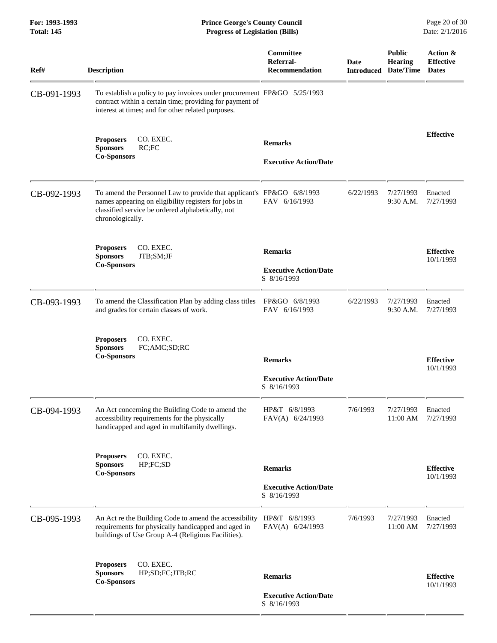**For: 1993-1993 Prince George's County Council** Page 20 of 30<br> **Prince George's County Council** Page 20 of 30<br> **Progress of Legislation (Bills)** Date: 2/1/2016 **Total: 145 Progress of Legislation (Bills)** 

| Ref#        | <b>Description</b>                                                                                                                                                                                     | Committee<br>Referral-<br><b>Recommendation</b>               | Date<br><b>Introduced</b> | <b>Public</b><br><b>Hearing</b><br>Date/Time | Action &<br><b>Effective</b><br><b>Dates</b> |
|-------------|--------------------------------------------------------------------------------------------------------------------------------------------------------------------------------------------------------|---------------------------------------------------------------|---------------------------|----------------------------------------------|----------------------------------------------|
| CB-091-1993 | To establish a policy to pay invoices under procurement FP&GO 5/25/1993<br>contract within a certain time; providing for payment of<br>interest at times; and for other related purposes.              |                                                               |                           |                                              |                                              |
|             | CO. EXEC.<br><b>Proposers</b><br>RC;FC<br><b>Sponsors</b><br><b>Co-Sponsors</b>                                                                                                                        | <b>Remarks</b><br><b>Executive Action/Date</b>                |                           |                                              | <b>Effective</b>                             |
| CB-092-1993 | To amend the Personnel Law to provide that applicant's FP&GO 6/8/1993<br>names appearing on eligibility registers for jobs in<br>classified service be ordered alphabetically, not<br>chronologically. | FAV 6/16/1993                                                 | 6/22/1993                 | 7/27/1993<br>9:30 A.M.                       | Enacted<br>7/27/1993                         |
|             | CO. EXEC.<br><b>Proposers</b><br><b>Sponsors</b><br>JTB;SM;JF<br><b>Co-Sponsors</b>                                                                                                                    | <b>Remarks</b><br><b>Executive Action/Date</b><br>S 8/16/1993 |                           |                                              | <b>Effective</b><br>10/1/1993                |
| CB-093-1993 | To amend the Classification Plan by adding class titles<br>and grades for certain classes of work.                                                                                                     | FP&GO 6/8/1993<br>FAV 6/16/1993                               | 6/22/1993                 | 7/27/1993<br>9:30 A.M.                       | Enacted<br>7/27/1993                         |
|             | CO. EXEC.<br><b>Proposers</b><br>FC;AMC;SD;RC<br><b>Sponsors</b><br><b>Co-Sponsors</b>                                                                                                                 | <b>Remarks</b><br><b>Executive Action/Date</b><br>S 8/16/1993 |                           |                                              | <b>Effective</b><br>10/1/1993                |
| CB-094-1993 | An Act concerning the Building Code to amend the<br>accessibility requirements for the physically<br>handicapped and aged in multifamily dwellings.                                                    | HP&T 6/8/1993<br>FAV(A) 6/24/1993                             | 7/6/1993                  | 7/27/1993<br>11:00 AM                        | Enacted<br>7/27/1993                         |
|             | CO. EXEC.<br><b>Proposers</b><br><b>Sponsors</b><br>HP; FC; SD<br><b>Co-Sponsors</b>                                                                                                                   | <b>Remarks</b><br><b>Executive Action/Date</b><br>S 8/16/1993 |                           |                                              | <b>Effective</b><br>10/1/1993                |
| CB-095-1993 | An Act re the Building Code to amend the accessibility<br>requirements for physically handicapped and aged in<br>buildings of Use Group A-4 (Religious Facilities).                                    | HP&T 6/8/1993<br>FAV(A) 6/24/1993                             | 7/6/1993                  | 7/27/1993<br>11:00 AM                        | Enacted<br>7/27/1993                         |
|             | CO. EXEC.<br><b>Proposers</b><br><b>Sponsors</b><br>HP;SD;FC;JTB;RC<br><b>Co-Sponsors</b>                                                                                                              | <b>Remarks</b>                                                |                           |                                              | <b>Effective</b><br>10/1/1993                |
|             |                                                                                                                                                                                                        | <b>Executive Action/Date</b><br>S 8/16/1993                   |                           |                                              |                                              |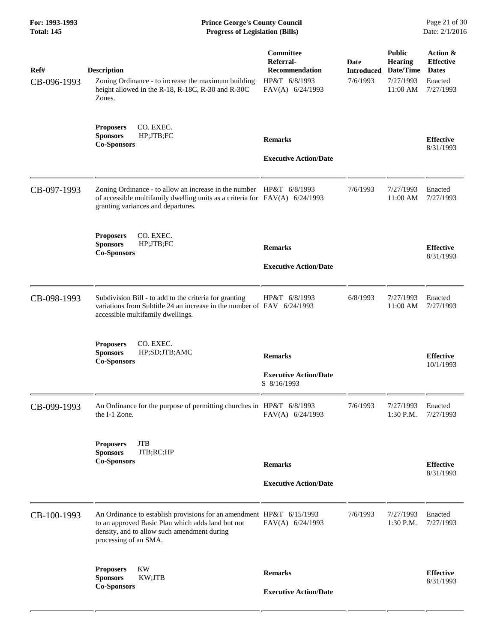| For: 1993-1993<br><b>Total: 145</b> | <b>Prince George's County Council</b><br>Date: 2/1/2016<br><b>Progress of Legislation (Bills)</b>                                                                                                 |                                                                                      |                                       |                                                                       |                                                                      |
|-------------------------------------|---------------------------------------------------------------------------------------------------------------------------------------------------------------------------------------------------|--------------------------------------------------------------------------------------|---------------------------------------|-----------------------------------------------------------------------|----------------------------------------------------------------------|
| Ref#<br>CB-096-1993                 | <b>Description</b><br>Zoning Ordinance - to increase the maximum building<br>height allowed in the R-18, R-18C, R-30 and R-30C<br>Zones.                                                          | <b>Committee</b><br>Referral-<br>Recommendation<br>HP&T 6/8/1993<br>FAV(A) 6/24/1993 | Date<br><b>Introduced</b><br>7/6/1993 | <b>Public</b><br><b>Hearing</b><br>Date/Time<br>7/27/1993<br>11:00 AM | Action &<br><b>Effective</b><br><b>Dates</b><br>Enacted<br>7/27/1993 |
|                                     | CO. EXEC.<br><b>Proposers</b><br>HP;JTB;FC<br><b>Sponsors</b><br><b>Co-Sponsors</b>                                                                                                               | <b>Remarks</b><br><b>Executive Action/Date</b>                                       |                                       |                                                                       | <b>Effective</b><br>8/31/1993                                        |
| CB-097-1993                         | Zoning Ordinance - to allow an increase in the number HP&T 6/8/1993<br>of accessible multifamily dwelling units as a criteria for $FAV(A)$ 6/24/1993<br>granting variances and departures.        |                                                                                      | 7/6/1993                              | 7/27/1993<br>11:00 AM                                                 | Enacted<br>7/27/1993                                                 |
|                                     | CO. EXEC.<br><b>Proposers</b><br><b>Sponsors</b><br>HP;JTB;FC<br><b>Co-Sponsors</b>                                                                                                               | <b>Remarks</b><br><b>Executive Action/Date</b>                                       |                                       |                                                                       | <b>Effective</b><br>8/31/1993                                        |
| CB-098-1993                         | Subdivision Bill - to add to the criteria for granting<br>variations from Subtitle 24 an increase in the number of $FAV$ 6/24/1993<br>accessible multifamily dwellings.                           | HP&T 6/8/1993                                                                        | 6/8/1993                              | 7/27/1993<br>11:00 AM                                                 | Enacted<br>7/27/1993                                                 |
|                                     | <b>Proposers</b><br>CO. EXEC.<br><b>Sponsors</b><br>HP;SD;JTB;AMC<br><b>Co-Sponsors</b>                                                                                                           | <b>Remarks</b><br><b>Executive Action/Date</b><br>S 8/16/1993                        |                                       |                                                                       | <b>Effective</b><br>10/1/1993                                        |
| CB-099-1993                         | An Ordinance for the purpose of permitting churches in $HP&T 6/8/1993$<br>the I-1 Zone.                                                                                                           | FAV(A) 6/24/1993                                                                     | 7/6/1993                              | 7/27/1993<br>1:30 P.M.                                                | Enacted<br>7/27/1993                                                 |
|                                     | <b>JTB</b><br><b>Proposers</b><br>JTB;RC;HP<br><b>Sponsors</b><br><b>Co-Sponsors</b>                                                                                                              | <b>Remarks</b><br><b>Executive Action/Date</b>                                       |                                       |                                                                       | <b>Effective</b><br>8/31/1993                                        |
| CB-100-1993                         | An Ordinance to establish provisions for an amendment HP&T 6/15/1993<br>to an approved Basic Plan which adds land but not<br>density, and to allow such amendment during<br>processing of an SMA. | FAV(A) 6/24/1993                                                                     | 7/6/1993                              | 7/27/1993<br>1:30 P.M.                                                | Enacted<br>7/27/1993                                                 |
|                                     | <b>KW</b><br><b>Proposers</b><br><b>Sponsors</b><br>KW;JTB<br><b>Co-Sponsors</b>                                                                                                                  | <b>Remarks</b><br><b>Executive Action/Date</b>                                       |                                       |                                                                       | <b>Effective</b><br>8/31/1993                                        |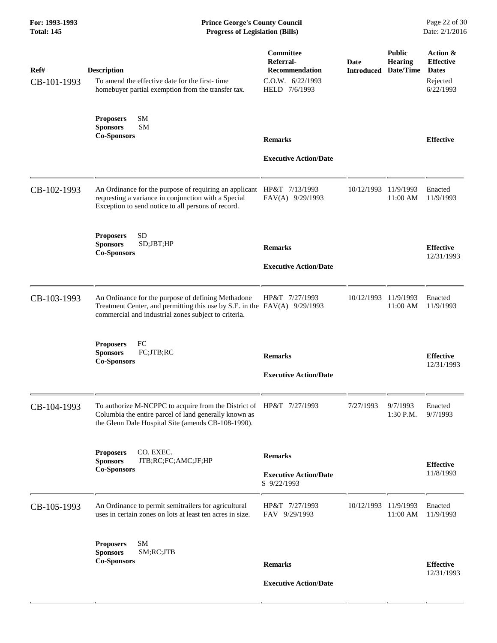| Ref#<br>CB-101-1993 | <b>Description</b><br>To amend the effective date for the first-time<br>homebuyer partial exemption from the transfer tax.                                                              | Committee<br>Referral-<br><b>Recommendation</b><br>C.0.W. 6/22/1993<br>HELD 7/6/1993 | Date<br><b>Introduced</b> | <b>Public</b><br><b>Hearing</b><br>Date/Time | Action &<br><b>Effective</b><br><b>Dates</b><br>Rejected<br>6/22/1993 |
|---------------------|-----------------------------------------------------------------------------------------------------------------------------------------------------------------------------------------|--------------------------------------------------------------------------------------|---------------------------|----------------------------------------------|-----------------------------------------------------------------------|
|                     | <b>SM</b><br><b>Proposers</b><br><b>Sponsors</b><br><b>SM</b><br><b>Co-Sponsors</b>                                                                                                     | <b>Remarks</b><br><b>Executive Action/Date</b>                                       |                           |                                              | <b>Effective</b>                                                      |
| CB-102-1993         | An Ordinance for the purpose of requiring an applicant HP&T 7/13/1993<br>requesting a variance in conjunction with a Special<br>Exception to send notice to all persons of record.      | FAV(A) 9/29/1993                                                                     | 10/12/1993                | 11/9/1993<br>11:00 AM                        | Enacted<br>11/9/1993                                                  |
|                     | <b>SD</b><br><b>Proposers</b><br><b>Sponsors</b><br>SD;JBT;HP<br><b>Co-Sponsors</b>                                                                                                     | <b>Remarks</b><br><b>Executive Action/Date</b>                                       |                           |                                              | <b>Effective</b><br>12/31/1993                                        |
| CB-103-1993         | An Ordinance for the purpose of defining Methadone<br>Treatment Center, and permitting this use by S.E. in the FAV(A) 9/29/1993<br>commercial and industrial zones subject to criteria. | HP&T 7/27/1993                                                                       | 10/12/1993                | 11/9/1993<br>11:00 AM                        | Enacted<br>11/9/1993                                                  |
|                     | <b>Proposers</b><br>FC<br>FC;JTB;RC<br><b>Sponsors</b><br><b>Co-Sponsors</b>                                                                                                            | <b>Remarks</b><br><b>Executive Action/Date</b>                                       |                           |                                              | <b>Effective</b><br>12/31/1993                                        |
| CB-104-1993         | To authorize M-NCPPC to acquire from the District of HP&T 7/27/1993<br>Columbia the entire parcel of land generally known as<br>the Glenn Dale Hospital Site (amends CB-108-1990).      |                                                                                      | 7/27/1993                 | 9/7/1993<br>1:30 P.M.                        | Enacted<br>9/7/1993                                                   |
|                     | CO. EXEC.<br><b>Proposers</b><br><b>Sponsors</b><br>JTB;RC;FC;AMC;JF;HP<br><b>Co-Sponsors</b>                                                                                           | <b>Remarks</b><br><b>Executive Action/Date</b><br>S 9/22/1993                        |                           |                                              | <b>Effective</b><br>11/8/1993                                         |
| CB-105-1993         | An Ordinance to permit semitrailers for agricultural<br>uses in certain zones on lots at least ten acres in size.                                                                       | HP&T 7/27/1993<br>FAV 9/29/1993                                                      | 10/12/1993                | 11/9/1993<br>11:00 AM                        | Enacted<br>11/9/1993                                                  |
|                     | SM<br><b>Proposers</b><br>SM;RC;JTB<br><b>Sponsors</b><br><b>Co-Sponsors</b>                                                                                                            | <b>Remarks</b><br><b>Executive Action/Date</b>                                       |                           |                                              | <b>Effective</b><br>12/31/1993                                        |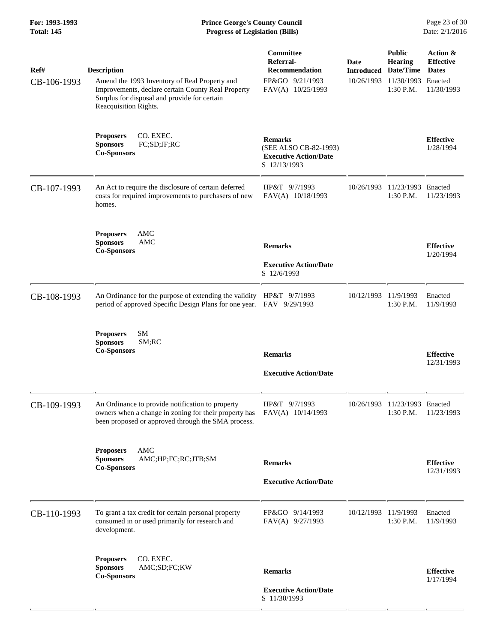| <b>Description</b><br>Amend the 1993 Inventory of Real Property and<br>Improvements, declare certain County Real Property<br>Surplus for disposal and provide for certain<br>Reacquisition Rights. | Committee<br>Referral-<br>Recommendation<br>FP&GO 9/21/1993<br>FAV(A) 10/25/1993        | Date<br><b>Introduced</b><br>10/26/1993                                                                                                      | <b>Public</b><br><b>Hearing</b><br>Date/Time<br>1:30 P.M. | Action &<br><b>Effective</b><br><b>Dates</b><br>Enacted<br>11/30/1993                     |
|----------------------------------------------------------------------------------------------------------------------------------------------------------------------------------------------------|-----------------------------------------------------------------------------------------|----------------------------------------------------------------------------------------------------------------------------------------------|-----------------------------------------------------------|-------------------------------------------------------------------------------------------|
| CO. EXEC.<br><b>Proposers</b><br><b>Sponsors</b><br>FC;SD;JF;RC<br><b>Co-Sponsors</b>                                                                                                              | <b>Remarks</b><br>(SEE ALSO CB-82-1993)<br><b>Executive Action/Date</b><br>S 12/13/1993 |                                                                                                                                              |                                                           | <b>Effective</b><br>1/28/1994                                                             |
| An Act to require the disclosure of certain deferred<br>costs for required improvements to purchasers of new<br>homes.                                                                             | HP&T 9/7/1993<br>FAV(A) 10/18/1993                                                      | 10/26/1993                                                                                                                                   | $1:30$ P.M.                                               | 11/23/1993                                                                                |
| AMC<br><b>Proposers</b><br><b>Sponsors</b><br>AMC<br><b>Co-Sponsors</b>                                                                                                                            | <b>Remarks</b><br><b>Executive Action/Date</b><br>S 12/6/1993                           |                                                                                                                                              |                                                           | <b>Effective</b><br>1/20/1994                                                             |
|                                                                                                                                                                                                    |                                                                                         | 10/12/1993                                                                                                                                   | 11/9/1993<br>1:30 P.M.                                    | Enacted<br>11/9/1993                                                                      |
| SM<br><b>Proposers</b><br><b>Sponsors</b><br>SM;RC<br><b>Co-Sponsors</b>                                                                                                                           | <b>Remarks</b><br><b>Executive Action/Date</b>                                          |                                                                                                                                              |                                                           | <b>Effective</b><br>12/31/1993                                                            |
| An Ordinance to provide notification to property<br>owners when a change in zoning for their property has<br>been proposed or approved through the SMA process.                                    | HP&T 9/7/1993<br>FAV(A) 10/14/1993                                                      |                                                                                                                                              | 1:30 P.M.                                                 | 11/23/1993                                                                                |
| <b>AMC</b><br><b>Proposers</b><br><b>Sponsors</b><br>AMC;HP;FC;RC;JTB;SM<br><b>Co-Sponsors</b>                                                                                                     | <b>Remarks</b><br><b>Executive Action/Date</b>                                          |                                                                                                                                              |                                                           | <b>Effective</b><br>12/31/1993                                                            |
| To grant a tax credit for certain personal property<br>consumed in or used primarily for research and<br>development.                                                                              | FP&GO 9/14/1993<br>FAV(A) 9/27/1993                                                     |                                                                                                                                              | 1:30 P.M.                                                 | Enacted<br>11/9/1993                                                                      |
| CO. EXEC.<br><b>Proposers</b><br>AMC;SD;FC;KW<br><b>Sponsors</b><br><b>Co-Sponsors</b>                                                                                                             | <b>Remarks</b><br><b>Executive Action/Date</b>                                          |                                                                                                                                              |                                                           | <b>Effective</b><br>1/17/1994                                                             |
|                                                                                                                                                                                                    |                                                                                         | An Ordinance for the purpose of extending the validity HP&T 9/7/1993<br>period of approved Specific Design Plans for one year. FAV 9/29/1993 |                                                           | 11/30/1993<br>11/23/1993 Enacted<br>10/26/1993 11/23/1993 Enacted<br>10/12/1993 11/9/1993 |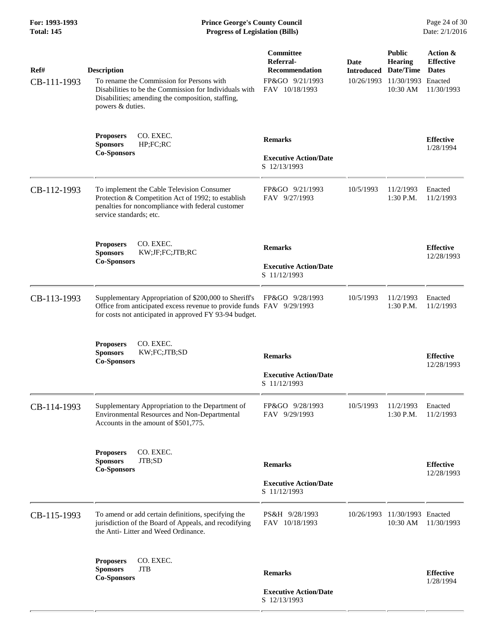**For: 1993-1993 Prince George's County Council** Page 24 of 30<br> **Prince George's County Council** Page 24 of 30<br> **Progress of Legislation (Bills)** Date: 2/1/2016 **Total: 145 Progress of Legislation (Bills)** 

| Ref#<br>CB-111-1993 | <b>Description</b><br>To rename the Commission for Persons with<br>Disabilities to be the Commission for Individuals with<br>Disabilities; amending the composition, staffing,<br>powers & duties. | Committee<br>Referral-<br><b>Recommendation</b><br>FP&GO 9/21/1993<br>FAV 10/18/1993 | Date<br><b>Introduced</b><br>10/26/1993 | <b>Public</b><br><b>Hearing</b><br>Date/Time<br>11/30/1993<br>10:30 AM | Action &<br><b>Effective</b><br><b>Dates</b><br>Enacted<br>11/30/1993 |
|---------------------|----------------------------------------------------------------------------------------------------------------------------------------------------------------------------------------------------|--------------------------------------------------------------------------------------|-----------------------------------------|------------------------------------------------------------------------|-----------------------------------------------------------------------|
|                     | CO. EXEC.<br><b>Proposers</b><br><b>Sponsors</b><br>HP; FC; RC<br><b>Co-Sponsors</b>                                                                                                               | <b>Remarks</b><br><b>Executive Action/Date</b><br>S 12/13/1993                       |                                         |                                                                        | <b>Effective</b><br>1/28/1994                                         |
| CB-112-1993         | To implement the Cable Television Consumer<br>Protection & Competition Act of 1992; to establish<br>penalties for noncompliance with federal customer<br>service standards; etc.                   | FP&GO 9/21/1993<br>FAV 9/27/1993                                                     | 10/5/1993                               | 11/2/1993<br>1:30 P.M.                                                 | Enacted<br>11/2/1993                                                  |
|                     | CO. EXEC.<br><b>Proposers</b><br>KW;JF;FC;JTB;RC<br><b>Sponsors</b><br><b>Co-Sponsors</b>                                                                                                          | <b>Remarks</b><br><b>Executive Action/Date</b><br>S 11/12/1993                       |                                         |                                                                        | <b>Effective</b><br>12/28/1993                                        |
| CB-113-1993         | Supplementary Appropriation of \$200,000 to Sheriff's<br>Office from anticipated excess revenue to provide funds FAV 9/29/1993<br>for costs not anticipated in approved FY 93-94 budget.           | FP&GO 9/28/1993                                                                      | 10/5/1993                               | 11/2/1993<br>$1:30$ P.M.                                               | Enacted<br>11/2/1993                                                  |
|                     | <b>Proposers</b><br>CO. EXEC.<br><b>Sponsors</b><br>KW;FC;JTB;SD<br><b>Co-Sponsors</b>                                                                                                             | <b>Remarks</b><br><b>Executive Action/Date</b><br>S 11/12/1993                       |                                         |                                                                        | <b>Effective</b><br>12/28/1993                                        |
| CB-114-1993         | Supplementary Appropriation to the Department of<br>Environmental Resources and Non-Departmental<br>Accounts in the amount of \$501,775.                                                           | FP&GO 9/28/1993<br>FAV 9/29/1993                                                     | 10/5/1993                               | 11/2/1993<br>1:30 P.M.                                                 | Enacted<br>11/2/1993                                                  |
|                     | CO. EXEC.<br><b>Proposers</b><br><b>Sponsors</b><br>JTB;SD<br><b>Co-Sponsors</b>                                                                                                                   | <b>Remarks</b><br><b>Executive Action/Date</b><br>S 11/12/1993                       |                                         |                                                                        | <b>Effective</b><br>12/28/1993                                        |
| CB-115-1993         | To amend or add certain definitions, specifying the<br>jurisdiction of the Board of Appeals, and recodifying<br>the Anti-Litter and Weed Ordinance.                                                | PS&H 9/28/1993<br>FAV 10/18/1993                                                     | 10/26/1993                              | 11/30/1993 Enacted<br>10:30 AM                                         | 11/30/1993                                                            |
|                     | <b>Proposers</b><br>CO. EXEC.<br><b>JTB</b><br><b>Sponsors</b><br><b>Co-Sponsors</b>                                                                                                               | <b>Remarks</b>                                                                       |                                         |                                                                        | <b>Effective</b><br>1/28/1994                                         |
|                     |                                                                                                                                                                                                    | <b>Executive Action/Date</b><br>S 12/13/1993                                         |                                         |                                                                        |                                                                       |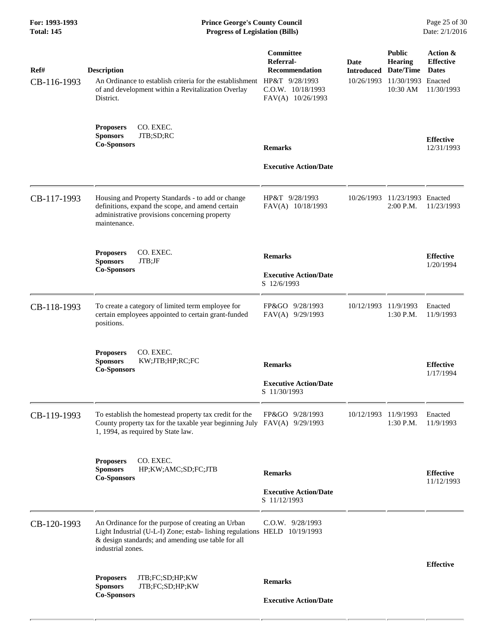| For: 1993-1993<br><b>Total: 145</b> | <b>Prince George's County Council</b><br><b>Progress of Legislation (Bills)</b>                                                                                                                           |                                                                                           |                                         |                                                                        | Page 25 of 30<br>Date: 2/1/2016                                       |  |
|-------------------------------------|-----------------------------------------------------------------------------------------------------------------------------------------------------------------------------------------------------------|-------------------------------------------------------------------------------------------|-----------------------------------------|------------------------------------------------------------------------|-----------------------------------------------------------------------|--|
| Ref#<br>CB-116-1993                 | <b>Description</b><br>An Ordinance to establish criteria for the establishment HP&T $9/28/1993$<br>of and development within a Revitalization Overlay<br>District.                                        | Committee<br>Referral-<br><b>Recommendation</b><br>C.O.W. 10/18/1993<br>FAV(A) 10/26/1993 | Date<br><b>Introduced</b><br>10/26/1993 | <b>Public</b><br><b>Hearing</b><br>Date/Time<br>11/30/1993<br>10:30 AM | Action &<br><b>Effective</b><br><b>Dates</b><br>Enacted<br>11/30/1993 |  |
|                                     | <b>Proposers</b><br>CO. EXEC.<br><b>Sponsors</b><br>JTB;SD;RC<br><b>Co-Sponsors</b>                                                                                                                       | <b>Remarks</b><br><b>Executive Action/Date</b>                                            |                                         |                                                                        | <b>Effective</b><br>12/31/1993                                        |  |
| CB-117-1993                         | Housing and Property Standards - to add or change<br>definitions, expand the scope, and amend certain<br>administrative provisions concerning property<br>maintenance.                                    | HP&T 9/28/1993<br>FAV(A) 10/18/1993                                                       | 10/26/1993                              | 11/23/1993 Enacted<br>$2:00$ P.M.                                      | 11/23/1993                                                            |  |
|                                     | CO. EXEC.<br><b>Proposers</b><br><b>Sponsors</b><br>JTB;JF<br><b>Co-Sponsors</b>                                                                                                                          | <b>Remarks</b><br><b>Executive Action/Date</b><br>S 12/6/1993                             |                                         |                                                                        | <b>Effective</b><br>1/20/1994                                         |  |
| CB-118-1993                         | To create a category of limited term employee for<br>certain employees appointed to certain grant-funded<br>positions.                                                                                    | FP&GO 9/28/1993<br>FAV(A) 9/29/1993                                                       | 10/12/1993                              | 11/9/1993<br>$1:30$ P.M.                                               | Enacted<br>11/9/1993                                                  |  |
|                                     | CO. EXEC.<br><b>Proposers</b><br><b>Sponsors</b><br>KW;JTB;HP;RC;FC<br><b>Co-Sponsors</b>                                                                                                                 | <b>Remarks</b><br><b>Executive Action/Date</b><br>S 11/30/1993                            |                                         |                                                                        | <b>Effective</b><br>1/17/1994                                         |  |
| CB-119-1993                         | To establish the homestead property tax credit for the<br>County property tax for the taxable year beginning July $FAV(A)$ 9/29/1993<br>1, 1994, as required by State law.                                | FP&GO 9/28/1993                                                                           | 10/12/1993 11/9/1993                    | 1:30 P.M.                                                              | Enacted<br>11/9/1993                                                  |  |
|                                     | CO. EXEC.<br><b>Proposers</b><br><b>Sponsors</b><br>HP;KW;AMC;SD;FC;JTB<br><b>Co-Sponsors</b>                                                                                                             | <b>Remarks</b><br><b>Executive Action/Date</b><br>S 11/12/1993                            |                                         |                                                                        | <b>Effective</b><br>11/12/1993                                        |  |
| CB-120-1993                         | An Ordinance for the purpose of creating an Urban<br>Light Industrial (U-L-I) Zone; estab- lishing regulations HELD 10/19/1993<br>& design standards; and amending use table for all<br>industrial zones. | $C.O.W.$ 9/28/1993                                                                        |                                         |                                                                        |                                                                       |  |
|                                     | <b>Proposers</b><br>JTB;FC;SD;HP;KW<br><b>Sponsors</b><br>JTB;FC;SD;HP;KW                                                                                                                                 | <b>Remarks</b>                                                                            |                                         |                                                                        | <b>Effective</b>                                                      |  |
|                                     | <b>Co-Sponsors</b>                                                                                                                                                                                        | <b>Executive Action/Date</b>                                                              |                                         |                                                                        |                                                                       |  |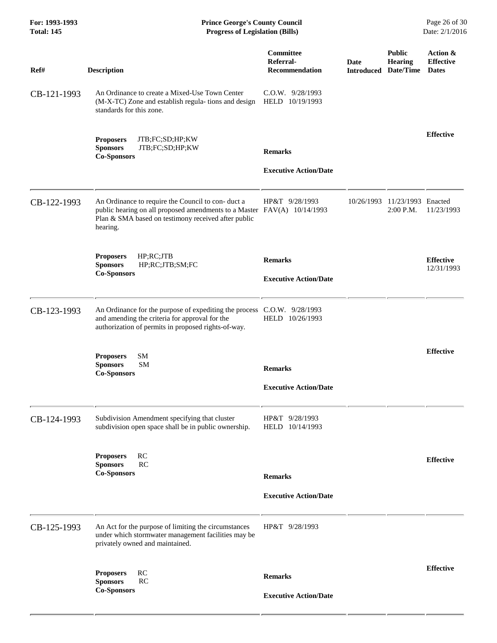| For: 1993-1993<br><b>Total: 145</b> | <b>Prince George's County Council</b><br><b>Progress of Legislation (Bills)</b>                                                                                                                 |                                                |             |                                                                | Page 26 of 30<br>Date: 2/1/2016              |  |
|-------------------------------------|-------------------------------------------------------------------------------------------------------------------------------------------------------------------------------------------------|------------------------------------------------|-------------|----------------------------------------------------------------|----------------------------------------------|--|
| Ref#                                | <b>Description</b>                                                                                                                                                                              | Committee<br>Referral-<br>Recommendation       | <b>Date</b> | <b>Public</b><br><b>Hearing</b><br><b>Introduced Date/Time</b> | Action &<br><b>Effective</b><br><b>Dates</b> |  |
| CB-121-1993                         | An Ordinance to create a Mixed-Use Town Center<br>(M-X-TC) Zone and establish regula-tions and design<br>standards for this zone.                                                               | $C.0.W.$ 9/28/1993<br>HELD 10/19/1993          |             |                                                                |                                              |  |
|                                     | <b>Proposers</b><br>JTB;FC;SD;HP;KW<br>JTB;FC;SD;HP;KW<br><b>Sponsors</b><br><b>Co-Sponsors</b>                                                                                                 | <b>Remarks</b><br><b>Executive Action/Date</b> |             |                                                                | <b>Effective</b>                             |  |
| CB-122-1993                         | An Ordinance to require the Council to con-duct a<br>public hearing on all proposed amendments to a Master FAV(A) 10/14/1993<br>Plan & SMA based on testimony received after public<br>hearing. | HP&T 9/28/1993                                 | 10/26/1993  | 11/23/1993 Enacted<br>2:00 P.M.                                | 11/23/1993                                   |  |
|                                     | HP;RC;JTB<br><b>Proposers</b><br>HP;RC;JTB;SM;FC<br><b>Sponsors</b><br><b>Co-Sponsors</b>                                                                                                       | <b>Remarks</b><br><b>Executive Action/Date</b> |             |                                                                | <b>Effective</b><br>12/31/1993               |  |
| CB-123-1993                         | An Ordinance for the purpose of expediting the process C.O.W. 9/28/1993<br>and amending the criteria for approval for the<br>authorization of permits in proposed rights-of-way.                | HELD 10/26/1993                                |             |                                                                |                                              |  |
|                                     | SM<br><b>Proposers</b><br><b>SM</b><br><b>Sponsors</b><br><b>Co-Sponsors</b>                                                                                                                    | <b>Remarks</b><br><b>Executive Action/Date</b> |             |                                                                | <b>Effective</b>                             |  |
| CB-124-1993                         | Subdivision Amendment specifying that cluster<br>subdivision open space shall be in public ownership.                                                                                           | HP&T 9/28/1993<br>HELD 10/14/1993              |             |                                                                |                                              |  |
|                                     | <b>Proposers</b><br>RC<br><b>RC</b><br><b>Sponsors</b><br><b>Co-Sponsors</b>                                                                                                                    | <b>Remarks</b><br><b>Executive Action/Date</b> |             |                                                                | <b>Effective</b>                             |  |
| CB-125-1993                         | An Act for the purpose of limiting the circumstances<br>under which stormwater management facilities may be<br>privately owned and maintained.                                                  | HP&T 9/28/1993                                 |             |                                                                |                                              |  |
|                                     | <b>Proposers</b><br>RC<br><b>RC</b><br><b>Sponsors</b><br><b>Co-Sponsors</b>                                                                                                                    | <b>Remarks</b><br><b>Executive Action/Date</b> |             |                                                                | <b>Effective</b>                             |  |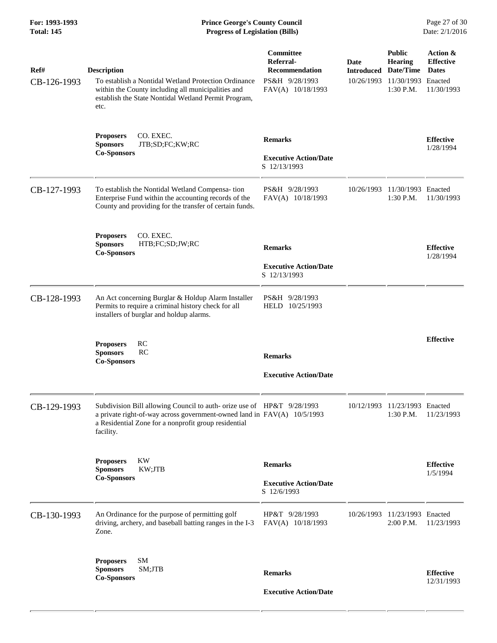| Ref#<br>CB-126-1993 | <b>Description</b><br>To establish a Nontidal Wetland Protection Ordinance<br>within the County including all municipalities and<br>establish the State Nontidal Wetland Permit Program,<br>etc.                       | Committee<br>Referral-<br><b>Recommendation</b><br>PS&H 9/28/1993<br>FAV(A) 10/18/1993 | Date<br><b>Introduced</b> | <b>Public</b><br><b>Hearing</b><br>Date/Time<br>10/26/1993 11/30/1993<br>1:30 P.M. | Action &<br><b>Effective</b><br><b>Dates</b><br>Enacted<br>11/30/1993 |
|---------------------|------------------------------------------------------------------------------------------------------------------------------------------------------------------------------------------------------------------------|----------------------------------------------------------------------------------------|---------------------------|------------------------------------------------------------------------------------|-----------------------------------------------------------------------|
|                     | CO. EXEC.<br><b>Proposers</b><br><b>Sponsors</b><br>JTB;SD;FC;KW;RC<br><b>Co-Sponsors</b>                                                                                                                              | <b>Remarks</b><br><b>Executive Action/Date</b><br>S 12/13/1993                         |                           |                                                                                    | <b>Effective</b><br>1/28/1994                                         |
| CB-127-1993         | To establish the Nontidal Wetland Compensa-tion<br>Enterprise Fund within the accounting records of the<br>County and providing for the transfer of certain funds.                                                     | PS&H 9/28/1993<br>FAV(A) 10/18/1993                                                    | 10/26/1993                | 11/30/1993 Enacted<br>1:30 P.M.                                                    | 11/30/1993                                                            |
|                     | CO. EXEC.<br><b>Proposers</b><br><b>Sponsors</b><br>HTB;FC;SD;JW;RC<br><b>Co-Sponsors</b>                                                                                                                              | <b>Remarks</b><br><b>Executive Action/Date</b><br>S 12/13/1993                         |                           |                                                                                    | <b>Effective</b><br>1/28/1994                                         |
| CB-128-1993         | An Act concerning Burglar & Holdup Alarm Installer<br>Permits to require a criminal history check for all<br>installers of burglar and holdup alarms.                                                                  | PS&H 9/28/1993<br>HELD 10/25/1993                                                      |                           |                                                                                    |                                                                       |
|                     | <b>Proposers</b><br>RC<br><b>Sponsors</b><br>RC<br><b>Co-Sponsors</b>                                                                                                                                                  | <b>Remarks</b><br><b>Executive Action/Date</b>                                         |                           |                                                                                    | <b>Effective</b>                                                      |
| CB-129-1993         | Subdivision Bill allowing Council to auth- orize use of HP&T 9/28/1993<br>a private right-of-way across government-owned land in FAV(A) 10/5/1993<br>a Residential Zone for a nonprofit group residential<br>facility. |                                                                                        |                           | 10/12/1993 11/23/1993 Enacted<br>$1:30$ P.M.                                       | 11/23/1993                                                            |
|                     | <b>KW</b><br><b>Proposers</b><br>KW;JTB<br><b>Sponsors</b><br><b>Co-Sponsors</b>                                                                                                                                       | <b>Remarks</b><br><b>Executive Action/Date</b><br>S 12/6/1993                          |                           |                                                                                    | <b>Effective</b><br>1/5/1994                                          |
| CB-130-1993         | An Ordinance for the purpose of permitting golf<br>driving, archery, and baseball batting ranges in the I-3<br>Zone.                                                                                                   | HP&T 9/28/1993<br>FAV(A) 10/18/1993                                                    |                           | 10/26/1993 11/23/1993 Enacted<br>2:00 P.M.                                         | 11/23/1993                                                            |
|                     | <b>Proposers</b><br>SM<br><b>Sponsors</b><br>SM;JTB<br><b>Co-Sponsors</b>                                                                                                                                              | <b>Remarks</b><br><b>Executive Action/Date</b>                                         |                           |                                                                                    | <b>Effective</b><br>12/31/1993                                        |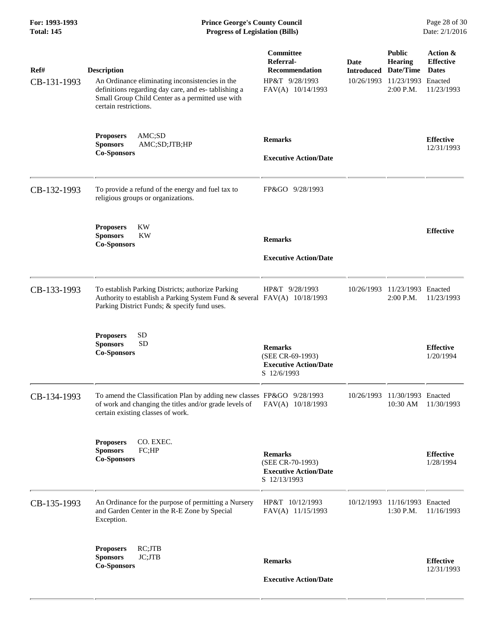**For: 1993-1993 Prince George's County Council** Page 28 of 30<br> **Prince George's County Council** Page 28 of 30<br> **Progress of Legislation (Bills)** Date: 2/1/2016 **Total: 145 Progress of Legislation (Bills)** 

| Ref#<br>CB-131-1993 | <b>Description</b><br>An Ordinance eliminating inconsistencies in the<br>definitions regarding day care, and es- tablishing a<br>Small Group Child Center as a permitted use with | Committee<br>Referral-<br>Recommendation<br>HP&T 9/28/1993<br>FAV(A) 10/14/1993    | Date<br><b>Introduced</b><br>10/26/1993 | <b>Public</b><br><b>Hearing</b><br>Date/Time<br>11/23/1993<br>2:00 P.M. | Action &<br><b>Effective</b><br><b>Dates</b><br>Enacted<br>11/23/1993 |
|---------------------|-----------------------------------------------------------------------------------------------------------------------------------------------------------------------------------|------------------------------------------------------------------------------------|-----------------------------------------|-------------------------------------------------------------------------|-----------------------------------------------------------------------|
|                     | certain restrictions.<br>AMC;SD<br><b>Proposers</b><br><b>Sponsors</b><br>AMC;SD;JTB;HP<br><b>Co-Sponsors</b>                                                                     | <b>Remarks</b><br><b>Executive Action/Date</b>                                     |                                         |                                                                         | <b>Effective</b><br>12/31/1993                                        |
| CB-132-1993         | To provide a refund of the energy and fuel tax to<br>religious groups or organizations.                                                                                           | FP&GO 9/28/1993                                                                    |                                         |                                                                         |                                                                       |
|                     | <b>Proposers</b><br>KW<br><b>KW</b><br><b>Sponsors</b><br><b>Co-Sponsors</b>                                                                                                      | <b>Remarks</b><br><b>Executive Action/Date</b>                                     |                                         |                                                                         | <b>Effective</b>                                                      |
| CB-133-1993         | To establish Parking Districts; authorize Parking<br>Authority to establish a Parking System Fund & several FAV(A) 10/18/1993<br>Parking District Funds; & specify fund uses.     | HP&T 9/28/1993                                                                     | 10/26/1993                              | 11/23/1993 Enacted<br>2:00 P.M.                                         | 11/23/1993                                                            |
|                     | <b>SD</b><br><b>Proposers</b><br><b>SD</b><br><b>Sponsors</b><br><b>Co-Sponsors</b>                                                                                               | <b>Remarks</b><br>(SEE CR-69-1993)<br><b>Executive Action/Date</b><br>S 12/6/1993  |                                         |                                                                         | <b>Effective</b><br>1/20/1994                                         |
| CB-134-1993         | To amend the Classification Plan by adding new classes FP&GO 9/28/1993<br>of work and changing the titles and/or grade levels of<br>certain existing classes of work.             | FAV(A) 10/18/1993                                                                  | 10/26/1993                              | 11/30/1993<br>10:30 AM                                                  | Enacted<br>11/30/1993                                                 |
|                     | CO. EXEC.<br><b>Proposers</b><br><b>Sponsors</b><br>FC;HP<br><b>Co-Sponsors</b>                                                                                                   | <b>Remarks</b><br>(SEE CR-70-1993)<br><b>Executive Action/Date</b><br>S 12/13/1993 |                                         |                                                                         | <b>Effective</b><br>1/28/1994                                         |
| CB-135-1993         | An Ordinance for the purpose of permitting a Nursery<br>and Garden Center in the R-E Zone by Special<br>Exception.                                                                | HP&T 10/12/1993<br>FAV(A) 11/15/1993                                               |                                         | 10/12/1993 11/16/1993 Enacted<br>1:30 P.M.                              | 11/16/1993                                                            |
|                     | RC;JTB<br><b>Proposers</b><br>JC;JTB<br><b>Sponsors</b><br><b>Co-Sponsors</b>                                                                                                     | <b>Remarks</b><br><b>Executive Action/Date</b>                                     |                                         |                                                                         | <b>Effective</b><br>12/31/1993                                        |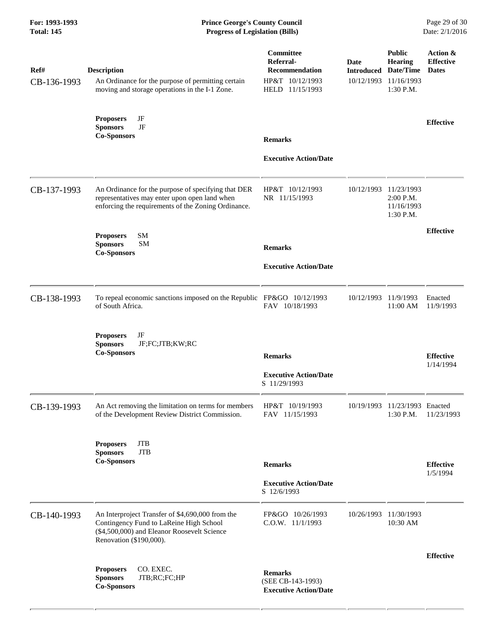#### **For: 1993-1993 Prince George's County Council** Page 29 of 30<br> **Prince George's County Council** Page 29 of 30<br> **Progress of Legislation (Bills)** Date: 2/1/2016 **Total: 145 Progress of Legislation (Bills)**

| Ref#<br>CB-136-1993 | Description<br>An Ordinance for the purpose of permitting certain<br>moving and storage operations in the I-1 Zone.                                                   | Committee<br>Referral-<br><b>Recommendation</b><br>HP&T 10/12/1993<br>HELD 11/15/1993 | Date<br><b>Introduced Date/Time</b> | <b>Public</b><br><b>Hearing</b><br>10/12/1993 11/16/1993<br>1:30 P.M. | Action &<br><b>Effective</b><br><b>Dates</b> |
|---------------------|-----------------------------------------------------------------------------------------------------------------------------------------------------------------------|---------------------------------------------------------------------------------------|-------------------------------------|-----------------------------------------------------------------------|----------------------------------------------|
|                     | JF<br><b>Proposers</b><br>JF<br><b>Sponsors</b><br><b>Co-Sponsors</b>                                                                                                 | <b>Remarks</b>                                                                        |                                     |                                                                       | <b>Effective</b>                             |
|                     |                                                                                                                                                                       | <b>Executive Action/Date</b>                                                          |                                     |                                                                       |                                              |
| CB-137-1993         | An Ordinance for the purpose of specifying that DER<br>representatives may enter upon open land when<br>enforcing the requirements of the Zoning Ordinance.           | HP&T 10/12/1993<br>NR 11/15/1993                                                      | 10/12/1993                          | 11/23/1993<br>2:00 P.M.<br>11/16/1993<br>1:30 P.M.                    |                                              |
|                     | <b>SM</b><br><b>Proposers</b><br><b>SM</b><br><b>Sponsors</b><br><b>Co-Sponsors</b>                                                                                   | <b>Remarks</b>                                                                        |                                     |                                                                       | <b>Effective</b>                             |
|                     |                                                                                                                                                                       | <b>Executive Action/Date</b>                                                          |                                     |                                                                       |                                              |
| CB-138-1993         | To repeal economic sanctions imposed on the Republic FP&GO 10/12/1993<br>of South Africa.                                                                             | FAV 10/18/1993                                                                        | 10/12/1993                          | 11/9/1993<br>11:00 AM                                                 | Enacted<br>11/9/1993                         |
|                     | JF<br><b>Proposers</b><br><b>Sponsors</b><br>JF;FC;JTB;KW;RC<br><b>Co-Sponsors</b>                                                                                    | <b>Remarks</b>                                                                        |                                     |                                                                       | <b>Effective</b><br>1/14/1994                |
|                     |                                                                                                                                                                       | <b>Executive Action/Date</b><br>S 11/29/1993                                          |                                     |                                                                       |                                              |
| CB-139-1993         | An Act removing the limitation on terms for members<br>of the Development Review District Commission.                                                                 | HP&T 10/19/1993<br>FAV 11/15/1993                                                     |                                     | 10/19/1993 11/23/1993 Enacted<br>$1:30$ P.M.                          | 11/23/1993                                   |
|                     | <b>JTB</b><br><b>Proposers</b><br><b>JTB</b><br><b>Sponsors</b><br><b>Co-Sponsors</b>                                                                                 | <b>Remarks</b>                                                                        |                                     |                                                                       | <b>Effective</b><br>1/5/1994                 |
|                     |                                                                                                                                                                       | <b>Executive Action/Date</b><br>S 12/6/1993                                           |                                     |                                                                       |                                              |
| CB-140-1993         | An Interproject Transfer of \$4,690,000 from the<br>Contingency Fund to LaReine High School<br>(\$4,500,000) and Eleanor Roosevelt Science<br>Renovation (\$190,000). | FP&GO 10/26/1993<br>$C.0.W.$ $11/1/1993$                                              |                                     | 10/26/1993 11/30/1993<br>10:30 AM                                     |                                              |
|                     | CO. EXEC.<br><b>Proposers</b><br><b>Sponsors</b><br>JTB;RC;FC;HP<br><b>Co-Sponsors</b>                                                                                | <b>Remarks</b><br>(SEE CB-143-1993)<br><b>Executive Action/Date</b>                   |                                     |                                                                       | <b>Effective</b>                             |